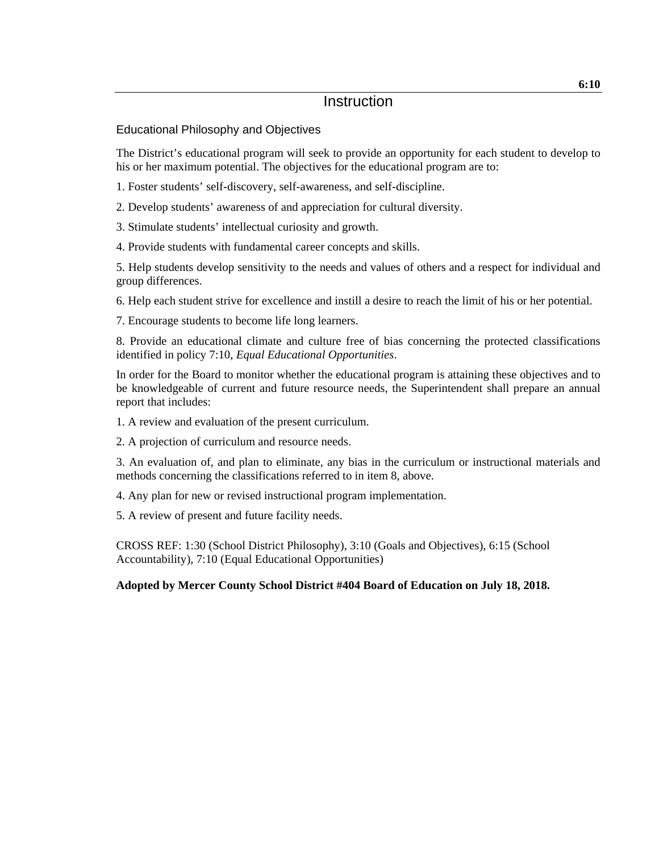#### Educational Philosophy and Objectives

The District's educational program will seek to provide an opportunity for each student to develop to his or her maximum potential. The objectives for the educational program are to:

1. Foster students' self-discovery, self-awareness, and self-discipline.

2. Develop students' awareness of and appreciation for cultural diversity.

3. Stimulate students' intellectual curiosity and growth.

4. Provide students with fundamental career concepts and skills.

5. Help students develop sensitivity to the needs and values of others and a respect for individual and group differences.

6. Help each student strive for excellence and instill a desire to reach the limit of his or her potential.

7. Encourage students to become life long learners.

8. Provide an educational climate and culture free of bias concerning the protected classifications identified in policy 7:10, *Equal Educational Opportunities*.

In order for the Board to monitor whether the educational program is attaining these objectives and to be knowledgeable of current and future resource needs, the Superintendent shall prepare an annual report that includes:

1. A review and evaluation of the present curriculum.

2. A projection of curriculum and resource needs.

3. An evaluation of, and plan to eliminate, any bias in the curriculum or instructional materials and methods concerning the classifications referred to in item 8, above.

4. Any plan for new or revised instructional program implementation.

5. A review of present and future facility needs.

CROSS REF: 1:30 (School District Philosophy), 3:10 (Goals and Objectives), 6:15 (School Accountability), 7:10 (Equal Educational Opportunities)

#### **Adopted by Mercer County School District #404 Board of Education on July 18, 2018.**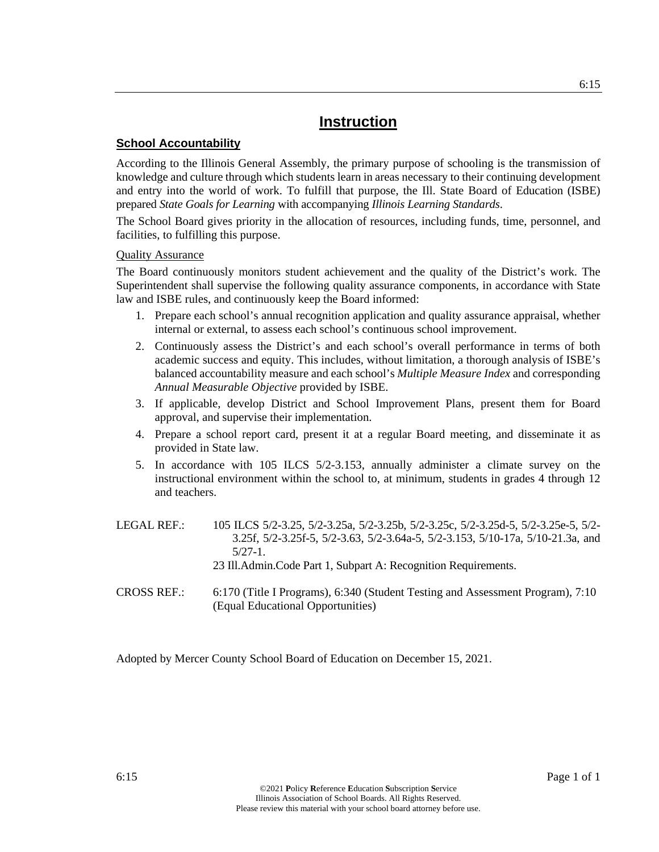#### **School Accountability**

According to the Illinois General Assembly, the primary purpose of schooling is the transmission of knowledge and culture through which students learn in areas necessary to their continuing development and entry into the world of work. To fulfill that purpose, the Ill. State Board of Education (ISBE) prepared *State Goals for Learning* with accompanying *Illinois Learning Standards*.

The School Board gives priority in the allocation of resources, including funds, time, personnel, and facilities, to fulfilling this purpose.

#### Quality Assurance

The Board continuously monitors student achievement and the quality of the District's work. The Superintendent shall supervise the following quality assurance components, in accordance with State law and ISBE rules, and continuously keep the Board informed:

- 1. Prepare each school's annual recognition application and quality assurance appraisal, whether internal or external, to assess each school's continuous school improvement.
- 2. Continuously assess the District's and each school's overall performance in terms of both academic success and equity. This includes, without limitation, a thorough analysis of ISBE's balanced accountability measure and each school's *Multiple Measure Index* and corresponding *Annual Measurable Objective* provided by ISBE.
- 3. If applicable, develop District and School Improvement Plans, present them for Board approval, and supervise their implementation.
- 4. Prepare a school report card, present it at a regular Board meeting, and disseminate it as provided in State law.
- 5. In accordance with 105 ILCS 5/2-3.153, annually administer a climate survey on the instructional environment within the school to, at minimum, students in grades 4 through 12 and teachers.
- LEGAL REF.: 105 ILCS 5/2-3.25, 5/2-3.25a, 5/2-3.25b, 5/2-3.25c, 5/2-3.25d-5, 5/2-3.25e-5, 5/2- 3.25f, 5/2-3.25f-5, 5/2-3.63, 5/2-3.64a-5, 5/2-3.153, 5/10-17a, 5/10-21.3a, and 5/27-1. 23 Ill.Admin.Code Part 1, Subpart A: Recognition Requirements. CROSS REF.: 6:170 (Title I Programs), 6:340 (Student Testing and Assessment Program), 7:10

Adopted by Mercer County School Board of Education on December 15, 2021.

(Equal Educational Opportunities)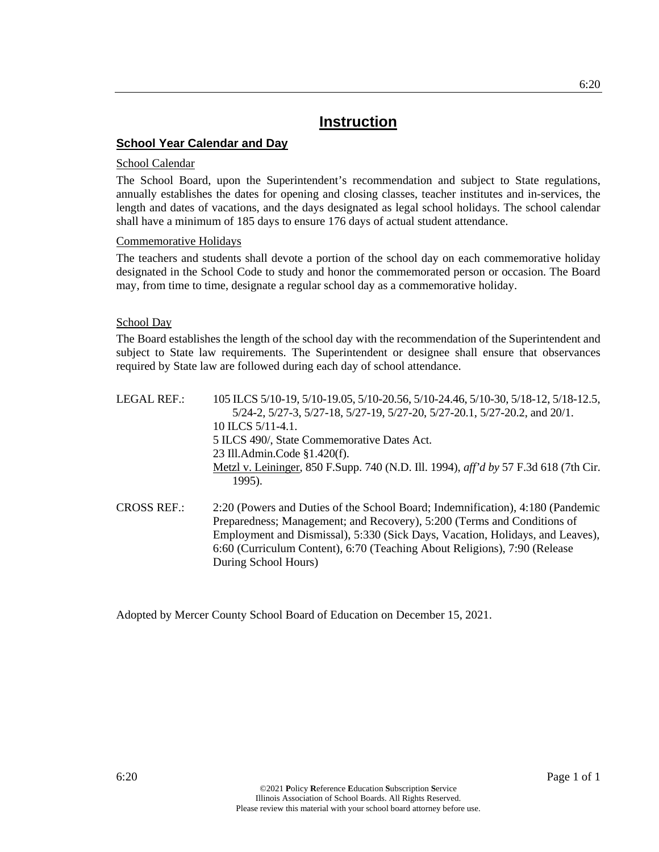#### **School Year Calendar and Day**

#### School Calendar

The School Board, upon the Superintendent's recommendation and subject to State regulations, annually establishes the dates for opening and closing classes, teacher institutes and in-services, the length and dates of vacations, and the days designated as legal school holidays. The school calendar shall have a minimum of 185 days to ensure 176 days of actual student attendance.

#### Commemorative Holidays

The teachers and students shall devote a portion of the school day on each commemorative holiday designated in the School Code to study and honor the commemorated person or occasion. The Board may, from time to time, designate a regular school day as a commemorative holiday.

#### School Day

The Board establishes the length of the school day with the recommendation of the Superintendent and subject to State law requirements. The Superintendent or designee shall ensure that observances required by State law are followed during each day of school attendance.

- LEGAL REF.: 105 ILCS 5/10-19, 5/10-19.05, 5/10-20.56, 5/10-24.46, 5/10-30, 5/18-12, 5/18-12.5, 5/24-2, 5/27-3, 5/27-18, 5/27-19, 5/27-20, 5/27-20.1, 5/27-20.2, and 20/1. 10 ILCS 5/11-4.1. 5 ILCS 490/, State Commemorative Dates Act. 23 Ill.Admin.Code §1.420(f). Metzl v. Leininger, 850 F.Supp. 740 (N.D. Ill. 1994), *aff'd by* 57 F.3d 618 (7th Cir. 1995). CROSS REF.: 2:20 (Powers and Duties of the School Board; Indemnification), 4:180 (Pandemic Preparedness; Management; and Recovery), 5:200 (Terms and Conditions of
- Employment and Dismissal), 5:330 (Sick Days, Vacation, Holidays, and Leaves), 6:60 (Curriculum Content), 6:70 (Teaching About Religions), 7:90 (Release During School Hours)

Adopted by Mercer County School Board of Education on December 15, 2021.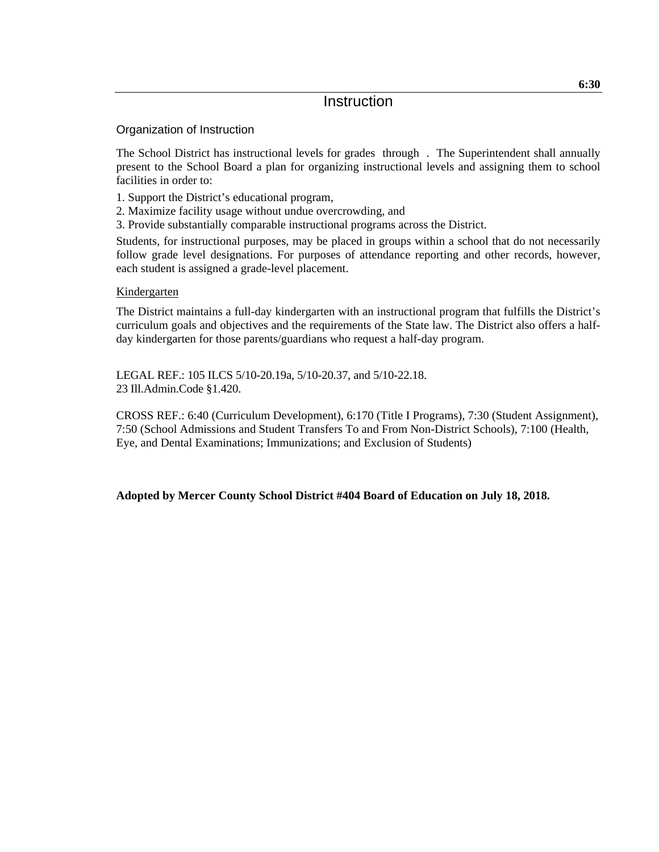Organization of Instruction

The School District has instructional levels for grades through . The Superintendent shall annually present to the School Board a plan for organizing instructional levels and assigning them to school facilities in order to:

- 1. Support the District's educational program,
- 2. Maximize facility usage without undue overcrowding, and
- 3. Provide substantially comparable instructional programs across the District.

Students, for instructional purposes, may be placed in groups within a school that do not necessarily follow grade level designations. For purposes of attendance reporting and other records, however, each student is assigned a grade-level placement.

#### Kindergarten

The District maintains a full-day kindergarten with an instructional program that fulfills the District's curriculum goals and objectives and the requirements of the State law. The District also offers a halfday kindergarten for those parents/guardians who request a half-day program.

LEGAL REF.: 105 ILCS 5/10-20.19a, 5/10-20.37, and 5/10-22.18. 23 Ill.Admin.Code §1.420.

CROSS REF.: 6:40 (Curriculum Development), 6:170 (Title I Programs), 7:30 (Student Assignment), 7:50 (School Admissions and Student Transfers To and From Non-District Schools), 7:100 (Health, Eye, and Dental Examinations; Immunizations; and Exclusion of Students)

**Adopted by Mercer County School District #404 Board of Education on July 18, 2018.**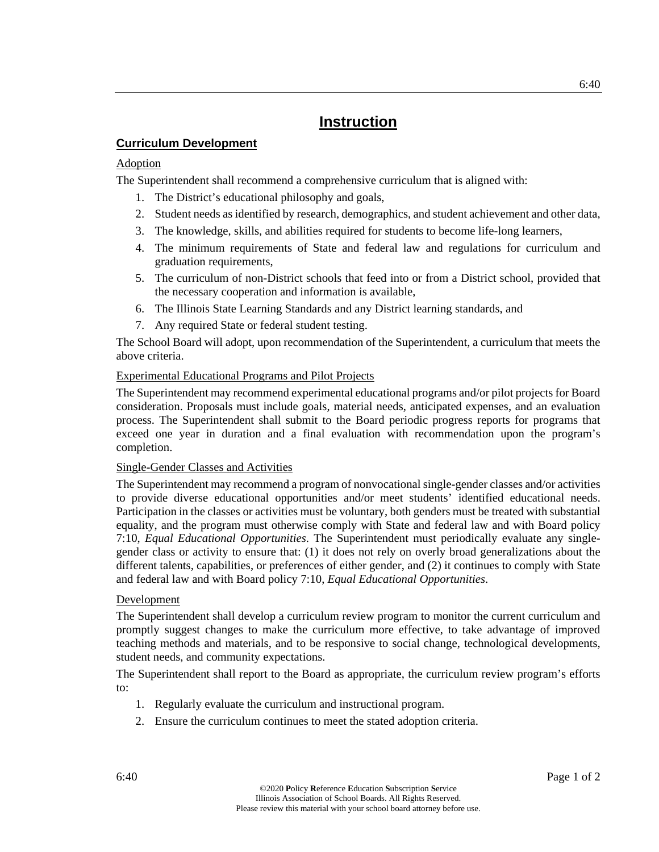#### **Curriculum Development**

#### Adoption

The Superintendent shall recommend a comprehensive curriculum that is aligned with:

- 1. The District's educational philosophy and goals,
- 2. Student needs as identified by research, demographics, and student achievement and other data,
- 3. The knowledge, skills, and abilities required for students to become life-long learners,
- 4. The minimum requirements of State and federal law and regulations for curriculum and graduation requirements,
- 5. The curriculum of non-District schools that feed into or from a District school, provided that the necessary cooperation and information is available,
- 6. The Illinois State Learning Standards and any District learning standards, and
- 7. Any required State or federal student testing.

The School Board will adopt, upon recommendation of the Superintendent, a curriculum that meets the above criteria.

#### Experimental Educational Programs and Pilot Projects

The Superintendent may recommend experimental educational programs and/or pilot projects for Board consideration. Proposals must include goals, material needs, anticipated expenses, and an evaluation process. The Superintendent shall submit to the Board periodic progress reports for programs that exceed one year in duration and a final evaluation with recommendation upon the program's completion.

#### Single-Gender Classes and Activities

The Superintendent may recommend a program of nonvocational single-gender classes and/or activities to provide diverse educational opportunities and/or meet students' identified educational needs. Participation in the classes or activities must be voluntary, both genders must be treated with substantial equality, and the program must otherwise comply with State and federal law and with Board policy 7:10, *Equal Educational Opportunities*. The Superintendent must periodically evaluate any singlegender class or activity to ensure that: (1) it does not rely on overly broad generalizations about the different talents, capabilities, or preferences of either gender, and (2) it continues to comply with State and federal law and with Board policy 7:10, *Equal Educational Opportunities*.

#### Development

The Superintendent shall develop a curriculum review program to monitor the current curriculum and promptly suggest changes to make the curriculum more effective, to take advantage of improved teaching methods and materials, and to be responsive to social change, technological developments, student needs, and community expectations.

The Superintendent shall report to the Board as appropriate, the curriculum review program's efforts to:

- 1. Regularly evaluate the curriculum and instructional program.
- 2. Ensure the curriculum continues to meet the stated adoption criteria.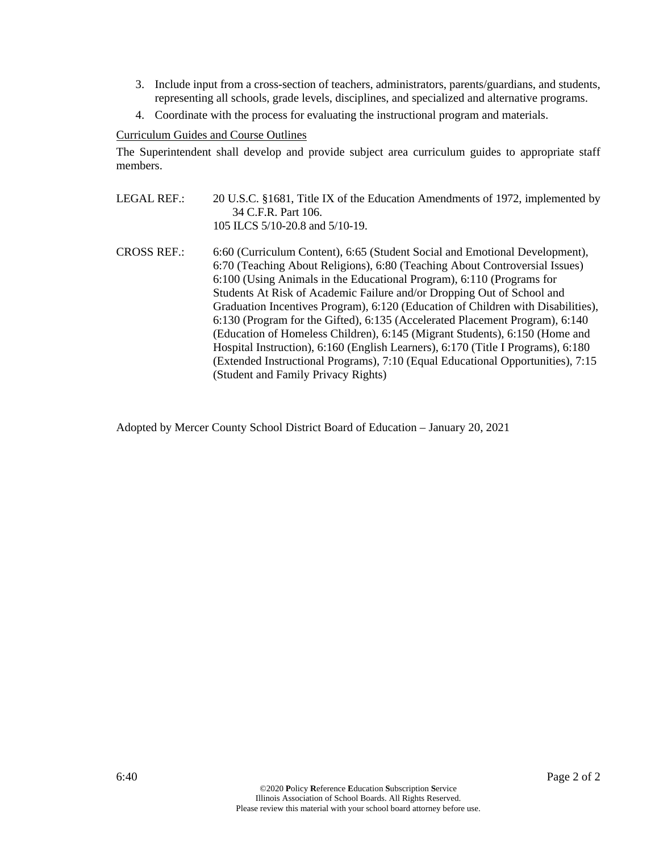- 3. Include input from a cross-section of teachers, administrators, parents/guardians, and students, representing all schools, grade levels, disciplines, and specialized and alternative programs.
- 4. Coordinate with the process for evaluating the instructional program and materials.

#### Curriculum Guides and Course Outlines

The Superintendent shall develop and provide subject area curriculum guides to appropriate staff members.

- LEGAL REF.: 20 U.S.C. §1681, Title IX of the Education Amendments of 1972, implemented by 34 C.F.R. Part 106. 105 ILCS 5/10-20.8 and 5/10-19.
- CROSS REF.: 6:60 (Curriculum Content), 6:65 (Student Social and Emotional Development), 6:70 (Teaching About Religions), 6:80 (Teaching About Controversial Issues) 6:100 (Using Animals in the Educational Program), 6:110 (Programs for Students At Risk of Academic Failure and/or Dropping Out of School and Graduation Incentives Program), 6:120 (Education of Children with Disabilities), 6:130 (Program for the Gifted), 6:135 (Accelerated Placement Program), 6:140 (Education of Homeless Children), 6:145 (Migrant Students), 6:150 (Home and Hospital Instruction), 6:160 (English Learners), 6:170 (Title I Programs), 6:180 (Extended Instructional Programs), 7:10 (Equal Educational Opportunities), 7:15 (Student and Family Privacy Rights)

Adopted by Mercer County School District Board of Education – January 20, 2021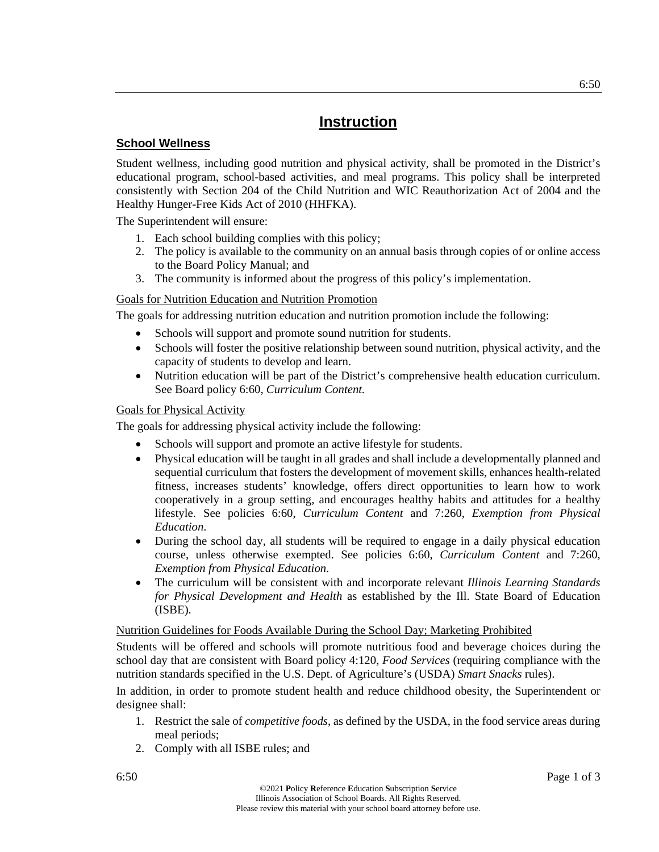#### **School Wellness**

Student wellness, including good nutrition and physical activity, shall be promoted in the District's educational program, school-based activities, and meal programs. This policy shall be interpreted consistently with Section 204 of the Child Nutrition and WIC Reauthorization Act of 2004 and the Healthy Hunger-Free Kids Act of 2010 (HHFKA).

The Superintendent will ensure:

- 1. Each school building complies with this policy;
- 2. The policy is available to the community on an annual basis through copies of or online access to the Board Policy Manual; and
- 3. The community is informed about the progress of this policy's implementation.

#### Goals for Nutrition Education and Nutrition Promotion

The goals for addressing nutrition education and nutrition promotion include the following:

- Schools will support and promote sound nutrition for students.
- Schools will foster the positive relationship between sound nutrition, physical activity, and the capacity of students to develop and learn.
- Nutrition education will be part of the District's comprehensive health education curriculum. See Board policy 6:60, *Curriculum Content.*

#### Goals for Physical Activity

The goals for addressing physical activity include the following:

- Schools will support and promote an active lifestyle for students.
- Physical education will be taught in all grades and shall include a developmentally planned and sequential curriculum that fosters the development of movement skills, enhances health-related fitness, increases students' knowledge, offers direct opportunities to learn how to work cooperatively in a group setting, and encourages healthy habits and attitudes for a healthy lifestyle. See policies 6:60, *Curriculum Content* and 7:260, *Exemption from Physical Education*.
- During the school day, all students will be required to engage in a daily physical education course, unless otherwise exempted. See policies 6:60, *Curriculum Content* and 7:260, *Exemption from Physical Education*.
- The curriculum will be consistent with and incorporate relevant *Illinois Learning Standards for Physical Development and Health* as established by the Ill. State Board of Education (ISBE).

#### Nutrition Guidelines for Foods Available During the School Day; Marketing Prohibited

Students will be offered and schools will promote nutritious food and beverage choices during the school day that are consistent with Board policy 4:120, *Food Services* (requiring compliance with the nutrition standards specified in the U.S. Dept. of Agriculture's (USDA) *Smart Snacks* rules).

In addition, in order to promote student health and reduce childhood obesity, the Superintendent or designee shall:

- 1. Restrict the sale of *competitive foods*, as defined by the USDA, in the food service areas during meal periods;
- 2. Comply with all ISBE rules; and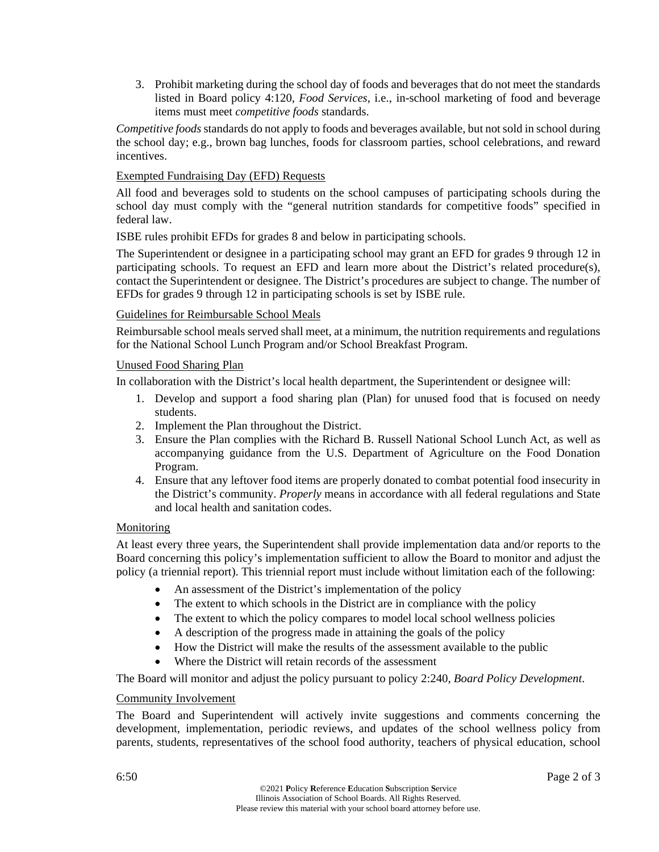3. Prohibit marketing during the school day of foods and beverages that do not meet the standards listed in Board policy 4:120, *Food Services*, i.e., in-school marketing of food and beverage items must meet *competitive foods* standards.

*Competitive foods* standards do not apply to foods and beverages available, but not sold in school during the school day; e.g., brown bag lunches, foods for classroom parties, school celebrations, and reward incentives.

#### Exempted Fundraising Day (EFD) Requests

All food and beverages sold to students on the school campuses of participating schools during the school day must comply with the "general nutrition standards for competitive foods" specified in federal law.

ISBE rules prohibit EFDs for grades 8 and below in participating schools.

The Superintendent or designee in a participating school may grant an EFD for grades 9 through 12 in participating schools. To request an EFD and learn more about the District's related procedure(s), contact the Superintendent or designee. The District's procedures are subject to change. The number of EFDs for grades 9 through 12 in participating schools is set by ISBE rule.

#### Guidelines for Reimbursable School Meals

Reimbursable school meals served shall meet, at a minimum, the nutrition requirements and regulations for the National School Lunch Program and/or School Breakfast Program.

#### Unused Food Sharing Plan

In collaboration with the District's local health department, the Superintendent or designee will:

- 1. Develop and support a food sharing plan (Plan) for unused food that is focused on needy students.
- 2. Implement the Plan throughout the District.
- 3. Ensure the Plan complies with the Richard B. Russell National School Lunch Act, as well as accompanying guidance from the U.S. Department of Agriculture on the Food Donation Program.
- 4. Ensure that any leftover food items are properly donated to combat potential food insecurity in the District's community. *Properly* means in accordance with all federal regulations and State and local health and sanitation codes.

#### Monitoring

At least every three years, the Superintendent shall provide implementation data and/or reports to the Board concerning this policy's implementation sufficient to allow the Board to monitor and adjust the policy (a triennial report). This triennial report must include without limitation each of the following:

- An assessment of the District's implementation of the policy
- The extent to which schools in the District are in compliance with the policy
- The extent to which the policy compares to model local school wellness policies
- A description of the progress made in attaining the goals of the policy
- How the District will make the results of the assessment available to the public
- Where the District will retain records of the assessment

The Board will monitor and adjust the policy pursuant to policy 2:240, *Board Policy Development*.

#### Community Involvement

The Board and Superintendent will actively invite suggestions and comments concerning the development, implementation, periodic reviews, and updates of the school wellness policy from parents, students, representatives of the school food authority, teachers of physical education, school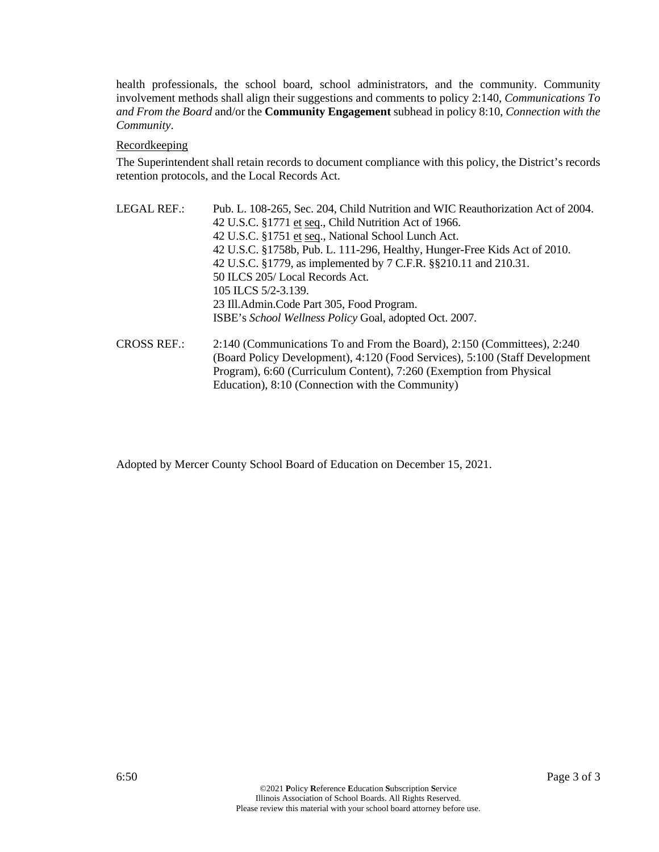health professionals, the school board, school administrators, and the community. Community involvement methods shall align their suggestions and comments to policy 2:140, *Communications To and From the Board* and/or the **Community Engagement** subhead in policy 8:10, *Connection with the Community*.

#### Recordkeeping

The Superintendent shall retain records to document compliance with this policy, the District's records retention protocols, and the Local Records Act.

LEGAL REF.: Pub. L. 108-265, Sec. 204, Child Nutrition and WIC Reauthorization Act of 2004. 42 U.S.C. §1771 et seq., Child Nutrition Act of 1966. 42 U.S.C. §1751 et seq., National School Lunch Act. 42 U.S.C. §1758b, Pub. L. 111-296, Healthy, Hunger-Free Kids Act of 2010. 42 U.S.C. §1779, as implemented by 7 C.F.R. §§210.11 and 210.31. 50 ILCS 205/ Local Records Act. 105 ILCS 5/2-3.139. 23 Ill.Admin.Code Part 305, Food Program. ISBE's *School Wellness Policy* Goal, adopted Oct. 2007. CROSS REF.: 2:140 (Communications To and From the Board), 2:150 (Committees), 2:240 (Board Policy Development), 4:120 (Food Services), 5:100 (Staff Development

Education), 8:10 (Connection with the Community)

Program), 6:60 (Curriculum Content), 7:260 (Exemption from Physical

Adopted by Mercer County School Board of Education on December 15, 2021.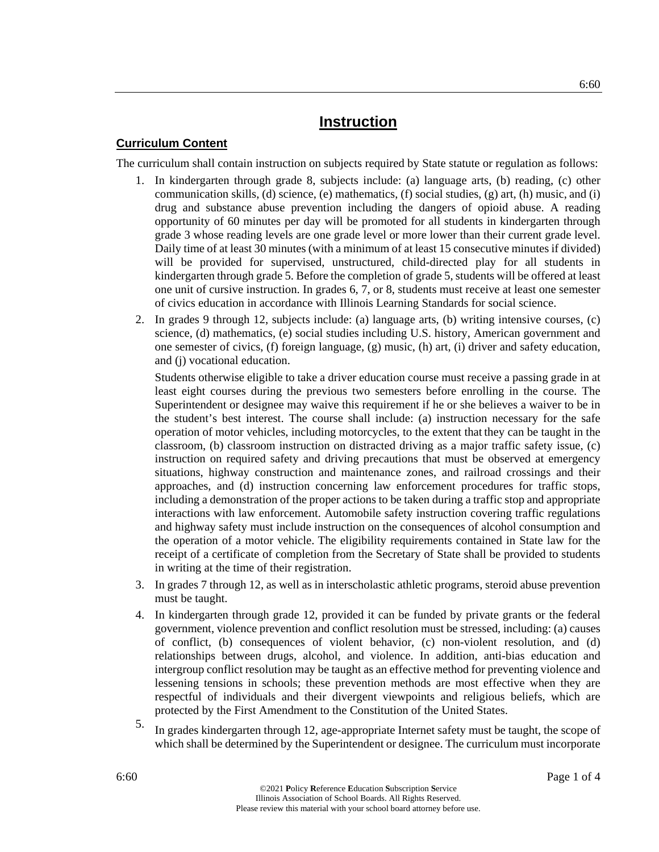#### **Curriculum Content**

The curriculum shall contain instruction on subjects required by State statute or regulation as follows:

- 1. In kindergarten through grade 8, subjects include: (a) language arts, (b) reading, (c) other communication skills, (d) science, (e) mathematics, (f) social studies, (g) art, (h) music, and (i) drug and substance abuse prevention including the dangers of opioid abuse. A reading opportunity of 60 minutes per day will be promoted for all students in kindergarten through grade 3 whose reading levels are one grade level or more lower than their current grade level. Daily time of at least 30 minutes (with a minimum of at least 15 consecutive minutes if divided) will be provided for supervised, unstructured, child-directed play for all students in kindergarten through grade 5. Before the completion of grade 5, students will be offered at least one unit of cursive instruction. In grades 6, 7, or 8, students must receive at least one semester of civics education in accordance with Illinois Learning Standards for social science.
- 2. In grades 9 through 12, subjects include: (a) language arts, (b) writing intensive courses, (c) science, (d) mathematics, (e) social studies including U.S. history, American government and one semester of civics, (f) foreign language, (g) music, (h) art, (i) driver and safety education, and (j) vocational education.

Students otherwise eligible to take a driver education course must receive a passing grade in at least eight courses during the previous two semesters before enrolling in the course. The Superintendent or designee may waive this requirement if he or she believes a waiver to be in the student's best interest. The course shall include: (a) instruction necessary for the safe operation of motor vehicles, including motorcycles, to the extent that they can be taught in the classroom, (b) classroom instruction on distracted driving as a major traffic safety issue, (c) instruction on required safety and driving precautions that must be observed at emergency situations, highway construction and maintenance zones, and railroad crossings and their approaches, and (d) instruction concerning law enforcement procedures for traffic stops, including a demonstration of the proper actions to be taken during a traffic stop and appropriate interactions with law enforcement. Automobile safety instruction covering traffic regulations and highway safety must include instruction on the consequences of alcohol consumption and the operation of a motor vehicle. The eligibility requirements contained in State law for the receipt of a certificate of completion from the Secretary of State shall be provided to students in writing at the time of their registration.

- 3. In grades 7 through 12, as well as in interscholastic athletic programs, steroid abuse prevention must be taught.
- 4. In kindergarten through grade 12, provided it can be funded by private grants or the federal government, violence prevention and conflict resolution must be stressed, including: (a) causes of conflict, (b) consequences of violent behavior, (c) non-violent resolution, and (d) relationships between drugs, alcohol, and violence. In addition, anti-bias education and intergroup conflict resolution may be taught as an effective method for preventing violence and lessening tensions in schools; these prevention methods are most effective when they are respectful of individuals and their divergent viewpoints and religious beliefs, which are protected by the First Amendment to the Constitution of the United States.
- 5. In grades kindergarten through 12, age-appropriate Internet safety must be taught, the scope of which shall be determined by the Superintendent or designee. The curriculum must incorporate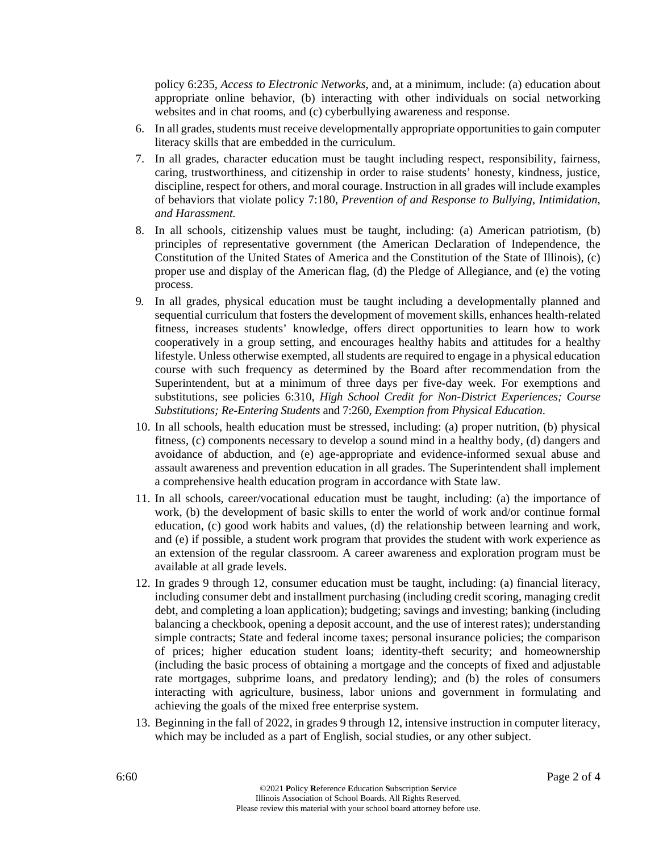policy 6:235, *Access to Electronic Networks*, and, at a minimum, include: (a) education about appropriate online behavior, (b) interacting with other individuals on social networking websites and in chat rooms, and (c) cyberbullying awareness and response.

- 6. In all grades, students must receive developmentally appropriate opportunities to gain computer literacy skills that are embedded in the curriculum.
- 7. In all grades, character education must be taught including respect, responsibility, fairness, caring, trustworthiness, and citizenship in order to raise students' honesty, kindness, justice, discipline, respect for others, and moral courage. Instruction in all grades will include examples of behaviors that violate policy 7:180, *Prevention of and Response to Bullying, Intimidation, and Harassment.*
- 8. In all schools, citizenship values must be taught, including: (a) American patriotism, (b) principles of representative government (the American Declaration of Independence, the Constitution of the United States of America and the Constitution of the State of Illinois), (c) proper use and display of the American flag, (d) the Pledge of Allegiance, and (e) the voting process.
- 9. In all grades, physical education must be taught including a developmentally planned and sequential curriculum that fosters the development of movement skills, enhances health-related fitness, increases students' knowledge, offers direct opportunities to learn how to work cooperatively in a group setting, and encourages healthy habits and attitudes for a healthy lifestyle. Unless otherwise exempted, all students are required to engage in a physical education course with such frequency as determined by the Board after recommendation from the Superintendent, but at a minimum of three days per five-day week. For exemptions and substitutions, see policies 6:310, *High School Credit for Non-District Experiences; Course Substitutions; Re-Entering Students* and 7:260, *Exemption from Physical Education*.
- 10. In all schools, health education must be stressed, including: (a) proper nutrition, (b) physical fitness, (c) components necessary to develop a sound mind in a healthy body, (d) dangers and avoidance of abduction, and (e) age-appropriate and evidence-informed sexual abuse and assault awareness and prevention education in all grades. The Superintendent shall implement a comprehensive health education program in accordance with State law.
- 11. In all schools, career/vocational education must be taught, including: (a) the importance of work, (b) the development of basic skills to enter the world of work and/or continue formal education, (c) good work habits and values, (d) the relationship between learning and work, and (e) if possible, a student work program that provides the student with work experience as an extension of the regular classroom. A career awareness and exploration program must be available at all grade levels.
- 12. In grades 9 through 12, consumer education must be taught, including: (a) financial literacy, including consumer debt and installment purchasing (including credit scoring, managing credit debt, and completing a loan application); budgeting; savings and investing; banking (including balancing a checkbook, opening a deposit account, and the use of interest rates); understanding simple contracts; State and federal income taxes; personal insurance policies; the comparison of prices; higher education student loans; identity-theft security; and homeownership (including the basic process of obtaining a mortgage and the concepts of fixed and adjustable rate mortgages, subprime loans, and predatory lending); and (b) the roles of consumers interacting with agriculture, business, labor unions and government in formulating and achieving the goals of the mixed free enterprise system.
- 13. Beginning in the fall of 2022, in grades 9 through 12, intensive instruction in computer literacy, which may be included as a part of English, social studies, or any other subject.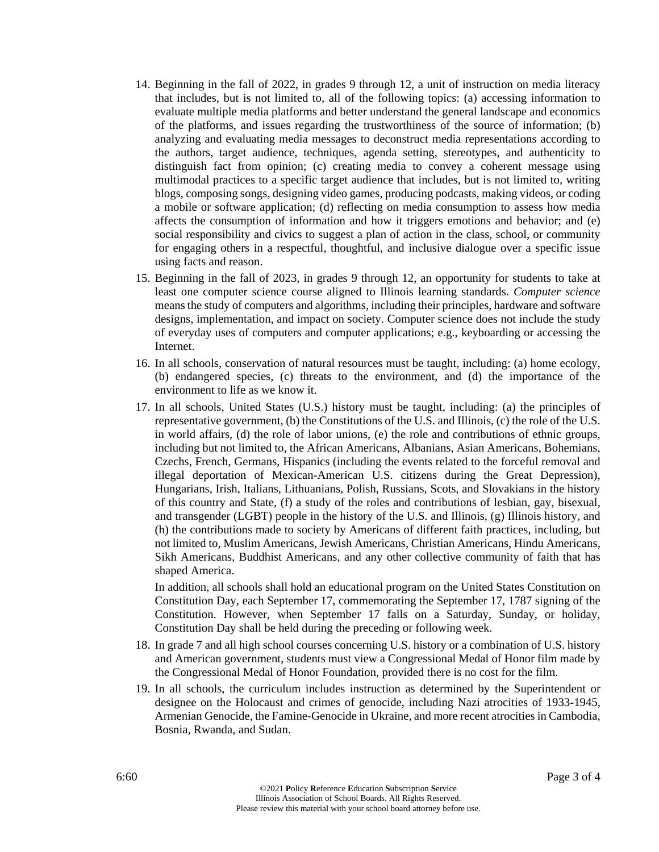- 14. Beginning in the fall of 2022, in grades 9 through 12, a unit of instruction on media literacy that includes, but is not limited to, all of the following topics: (a) accessing information to evaluate multiple media platforms and better understand the general landscape and economics of the platforms, and issues regarding the trustworthiness of the source of information; (b) analyzing and evaluating media messages to deconstruct media representations according to the authors, target audience, techniques, agenda setting, stereotypes, and authenticity to distinguish fact from opinion; (c) creating media to convey a coherent message using multimodal practices to a specific target audience that includes, but is not limited to, writing blogs, composing songs, designing video games, producing podcasts, making videos, or coding a mobile or software application; (d) reflecting on media consumption to assess how media affects the consumption of information and how it triggers emotions and behavior; and (e) social responsibility and civics to suggest a plan of action in the class, school, or community for engaging others in a respectful, thoughtful, and inclusive dialogue over a specific issue using facts and reason.
- 15. Beginning in the fall of 2023, in grades 9 through 12, an opportunity for students to take at least one computer science course aligned to Illinois learning standards. *Computer science* means the study of computers and algorithms, including their principles, hardware and software designs, implementation, and impact on society. Computer science does not include the study of everyday uses of computers and computer applications; e.g., keyboarding or accessing the Internet.
- 16. In all schools, conservation of natural resources must be taught, including: (a) home ecology, (b) endangered species, (c) threats to the environment, and (d) the importance of the environment to life as we know it.
- 17. In all schools, United States (U.S.) history must be taught, including: (a) the principles of representative government, (b) the Constitutions of the U.S. and Illinois, (c) the role of the U.S. in world affairs, (d) the role of labor unions, (e) the role and contributions of ethnic groups, including but not limited to, the African Americans, Albanians, Asian Americans, Bohemians, Czechs, French, Germans, Hispanics (including the events related to the forceful removal and illegal deportation of Mexican-American U.S. citizens during the Great Depression), Hungarians, Irish, Italians, Lithuanians, Polish, Russians, Scots, and Slovakians in the history of this country and State, (f) a study of the roles and contributions of lesbian, gay, bisexual, and transgender (LGBT) people in the history of the U.S. and Illinois, (g) Illinois history, and (h) the contributions made to society by Americans of different faith practices, including, but not limited to, Muslim Americans, Jewish Americans, Christian Americans, Hindu Americans, Sikh Americans, Buddhist Americans, and any other collective community of faith that has shaped America.

In addition, all schools shall hold an educational program on the United States Constitution on Constitution Day, each September 17, commemorating the September 17, 1787 signing of the Constitution. However, when September 17 falls on a Saturday, Sunday, or holiday, Constitution Day shall be held during the preceding or following week.

- 18. In grade 7 and all high school courses concerning U.S. history or a combination of U.S. history and American government, students must view a Congressional Medal of Honor film made by the Congressional Medal of Honor Foundation, provided there is no cost for the film.
- 19. In all schools, the curriculum includes instruction as determined by the Superintendent or designee on the Holocaust and crimes of genocide, including Nazi atrocities of 1933-1945, Armenian Genocide, the Famine-Genocide in Ukraine, and more recent atrocities in Cambodia, Bosnia, Rwanda, and Sudan.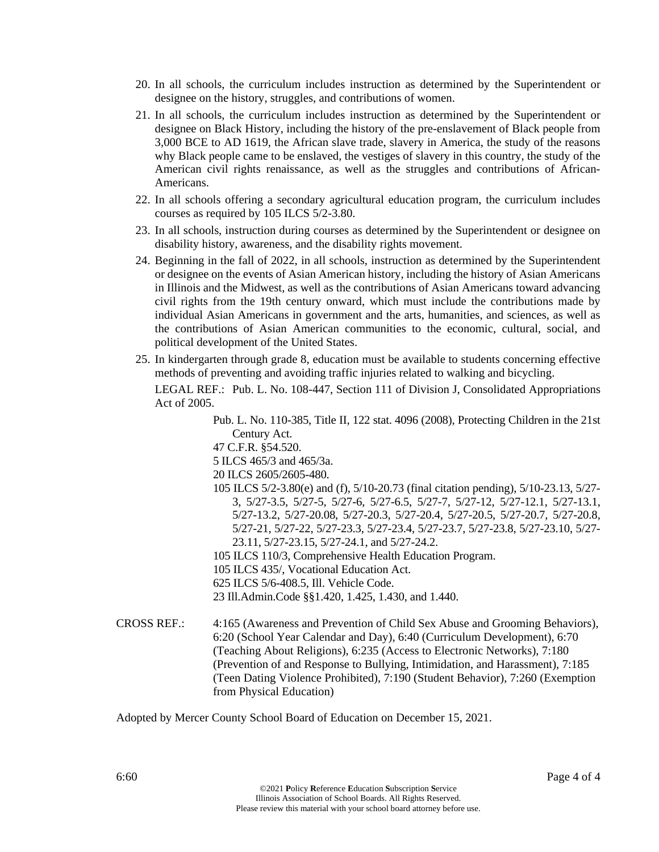- 20. In all schools, the curriculum includes instruction as determined by the Superintendent or designee on the history, struggles, and contributions of women.
- 21. In all schools, the curriculum includes instruction as determined by the Superintendent or designee on Black History, including the history of the pre-enslavement of Black people from 3,000 BCE to AD 1619, the African slave trade, slavery in America, the study of the reasons why Black people came to be enslaved, the vestiges of slavery in this country, the study of the American civil rights renaissance, as well as the struggles and contributions of African-Americans.
- 22. In all schools offering a secondary agricultural education program, the curriculum includes courses as required by 105 ILCS 5/2-3.80.
- 23. In all schools, instruction during courses as determined by the Superintendent or designee on disability history, awareness, and the disability rights movement.
- 24. Beginning in the fall of 2022, in all schools, instruction as determined by the Superintendent or designee on the events of Asian American history, including the history of Asian Americans in Illinois and the Midwest, as well as the contributions of Asian Americans toward advancing civil rights from the 19th century onward, which must include the contributions made by individual Asian Americans in government and the arts, humanities, and sciences, as well as the contributions of Asian American communities to the economic, cultural, social, and political development of the United States.
- 25. In kindergarten through grade 8, education must be available to students concerning effective methods of preventing and avoiding traffic injuries related to walking and bicycling.

LEGAL REF.: Pub. L. No. 108-447, Section 111 of Division J, Consolidated Appropriations Act of 2005.

- Pub. L. No. 110-385, Title II, 122 stat. 4096 (2008), Protecting Children in the 21st Century Act.
- 47 C.F.R. §54.520.
- 5 ILCS 465/3 and 465/3a.

20 ILCS 2605/2605-480.

- 105 ILCS 5/2-3.80(e) and (f), 5/10-20.73 (final citation pending), 5/10-23.13, 5/27- 3, 5/27-3.5, 5/27-5, 5/27-6, 5/27-6.5, 5/27-7, 5/27-12, 5/27-12.1, 5/27-13.1, 5/27-13.2, 5/27-20.08, 5/27-20.3, 5/27-20.4, 5/27-20.5, 5/27-20.7, 5/27-20.8, 5/27-21, 5/27-22, 5/27-23.3, 5/27-23.4, 5/27-23.7, 5/27-23.8, 5/27-23.10, 5/27- 23.11, 5/27-23.15, 5/27-24.1, and 5/27-24.2.
- 105 ILCS 110/3, Comprehensive Health Education Program.
- 105 ILCS 435/, Vocational Education Act.
- 625 ILCS 5/6-408.5, Ill. Vehicle Code.
- 23 Ill.Admin.Code §§1.420, 1.425, 1.430, and 1.440.
- CROSS REF.: 4:165 (Awareness and Prevention of Child Sex Abuse and Grooming Behaviors), 6:20 (School Year Calendar and Day), 6:40 (Curriculum Development), 6:70 (Teaching About Religions), 6:235 (Access to Electronic Networks), 7:180 (Prevention of and Response to Bullying, Intimidation, and Harassment), 7:185 (Teen Dating Violence Prohibited), 7:190 (Student Behavior), 7:260 (Exemption from Physical Education)

Adopted by Mercer County School Board of Education on December 15, 2021.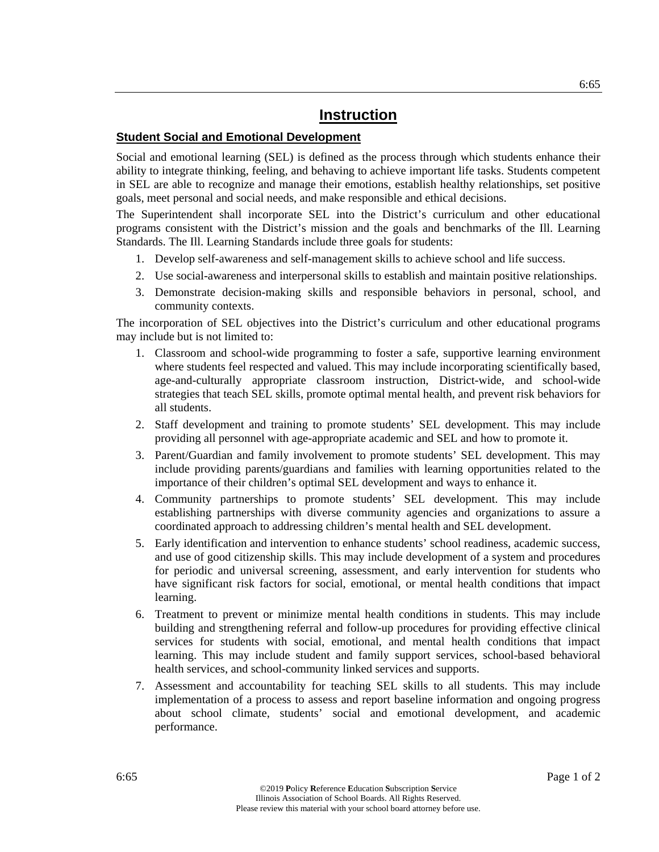#### **Student Social and Emotional Development**

Social and emotional learning (SEL) is defined as the process through which students enhance their ability to integrate thinking, feeling, and behaving to achieve important life tasks. Students competent in SEL are able to recognize and manage their emotions, establish healthy relationships, set positive goals, meet personal and social needs, and make responsible and ethical decisions.

The Superintendent shall incorporate SEL into the District's curriculum and other educational programs consistent with the District's mission and the goals and benchmarks of the Ill. Learning Standards. The Ill. Learning Standards include three goals for students:

- 1. Develop self-awareness and self-management skills to achieve school and life success.
- 2. Use social-awareness and interpersonal skills to establish and maintain positive relationships.
- 3. Demonstrate decision-making skills and responsible behaviors in personal, school, and community contexts.

The incorporation of SEL objectives into the District's curriculum and other educational programs may include but is not limited to:

- 1. Classroom and school-wide programming to foster a safe, supportive learning environment where students feel respected and valued. This may include incorporating scientifically based, age-and-culturally appropriate classroom instruction, District-wide, and school-wide strategies that teach SEL skills, promote optimal mental health, and prevent risk behaviors for all students.
- 2. Staff development and training to promote students' SEL development. This may include providing all personnel with age-appropriate academic and SEL and how to promote it.
- 3. Parent/Guardian and family involvement to promote students' SEL development. This may include providing parents/guardians and families with learning opportunities related to the importance of their children's optimal SEL development and ways to enhance it.
- 4. Community partnerships to promote students' SEL development. This may include establishing partnerships with diverse community agencies and organizations to assure a coordinated approach to addressing children's mental health and SEL development.
- 5. Early identification and intervention to enhance students' school readiness, academic success, and use of good citizenship skills. This may include development of a system and procedures for periodic and universal screening, assessment, and early intervention for students who have significant risk factors for social, emotional, or mental health conditions that impact learning.
- 6. Treatment to prevent or minimize mental health conditions in students. This may include building and strengthening referral and follow-up procedures for providing effective clinical services for students with social, emotional, and mental health conditions that impact learning. This may include student and family support services, school-based behavioral health services, and school-community linked services and supports.
- 7. Assessment and accountability for teaching SEL skills to all students. This may include implementation of a process to assess and report baseline information and ongoing progress about school climate, students' social and emotional development, and academic performance.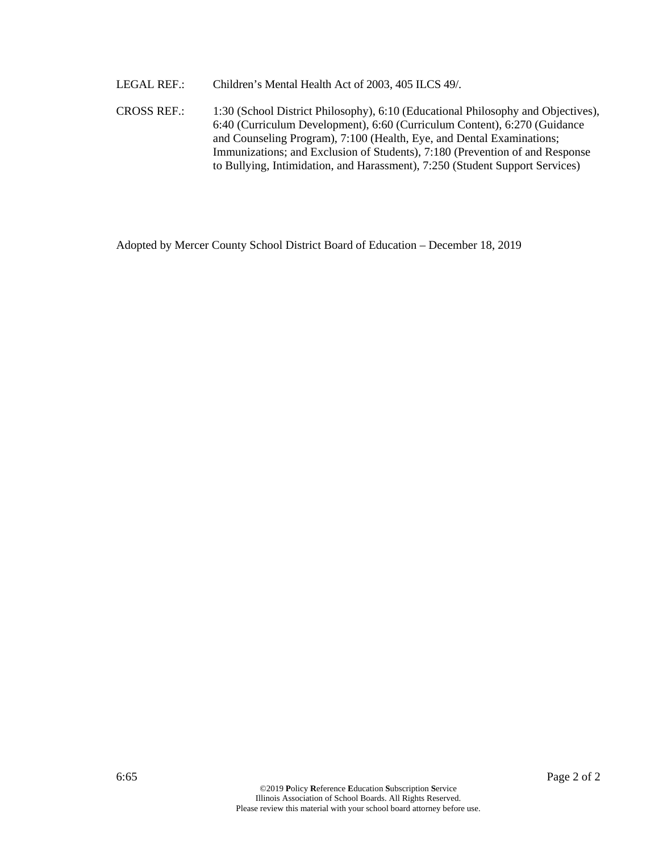LEGAL REF.: Children's Mental Health Act of 2003, 405 ILCS 49/.

CROSS REF.: 1:30 (School District Philosophy), 6:10 (Educational Philosophy and Objectives), 6:40 (Curriculum Development), 6:60 (Curriculum Content), 6:270 (Guidance and Counseling Program), 7:100 (Health, Eye, and Dental Examinations; Immunizations; and Exclusion of Students), 7:180 (Prevention of and Response to Bullying, Intimidation, and Harassment), 7:250 (Student Support Services)

Adopted by Mercer County School District Board of Education – December 18, 2019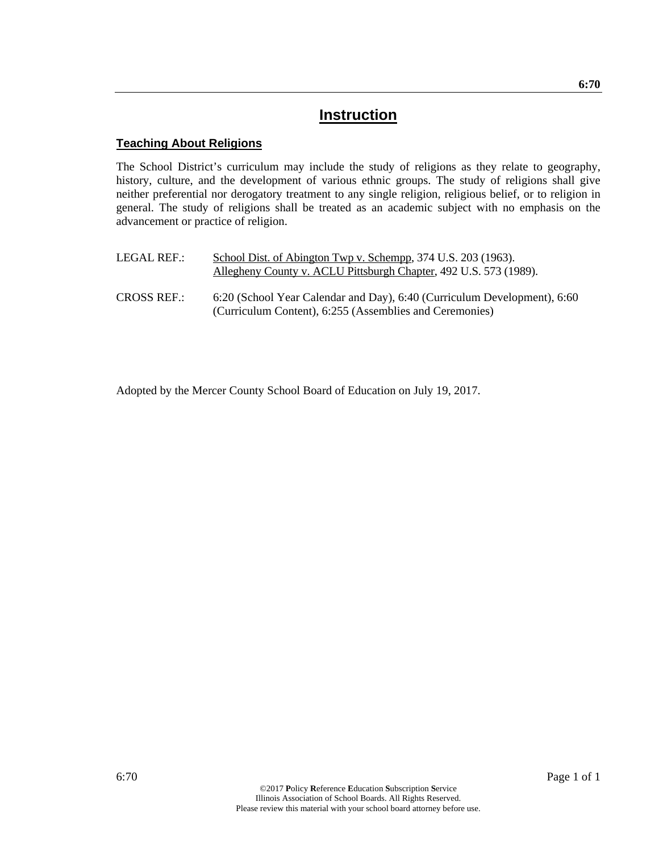#### **Teaching About Religions**

The School District's curriculum may include the study of religions as they relate to geography, history, culture, and the development of various ethnic groups. The study of religions shall give neither preferential nor derogatory treatment to any single religion, religious belief, or to religion in general. The study of religions shall be treated as an academic subject with no emphasis on the advancement or practice of religion.

| LEGAL REF.:        | School Dist. of Abington Twp v. Schempp, 374 U.S. 203 (1963).<br>Allegheny County v. ACLU Pittsburgh Chapter, 492 U.S. 573 (1989).  |
|--------------------|-------------------------------------------------------------------------------------------------------------------------------------|
| <b>CROSS REF.:</b> | 6:20 (School Year Calendar and Day), 6:40 (Curriculum Development), 6:60<br>(Curriculum Content), 6:255 (Assemblies and Ceremonies) |

Adopted by the Mercer County School Board of Education on July 19, 2017.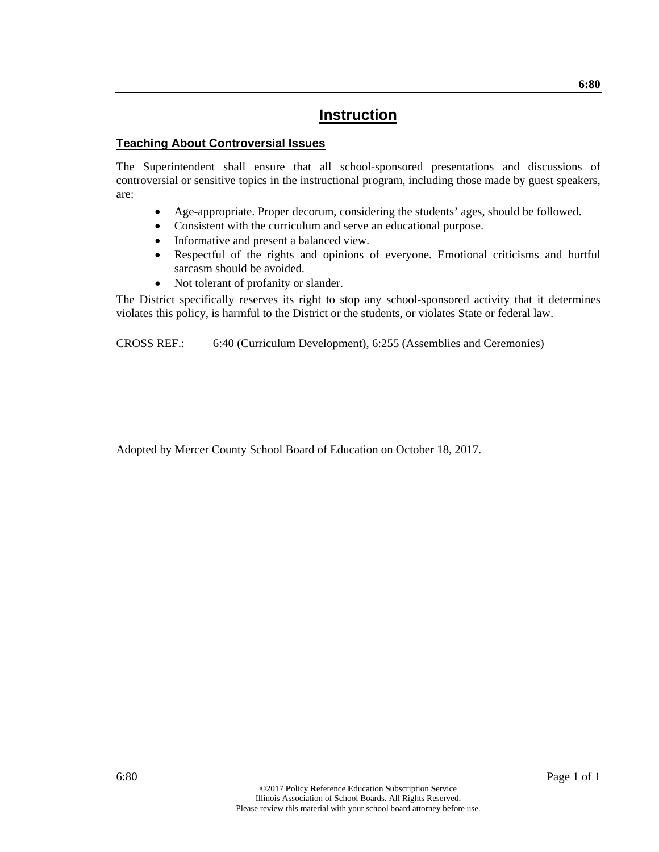#### **Teaching About Controversial Issues**

The Superintendent shall ensure that all school-sponsored presentations and discussions of controversial or sensitive topics in the instructional program, including those made by guest speakers, are:

- Age-appropriate. Proper decorum, considering the students' ages, should be followed.
- Consistent with the curriculum and serve an educational purpose.
- Informative and present a balanced view.
- Respectful of the rights and opinions of everyone. Emotional criticisms and hurtful sarcasm should be avoided.
- Not tolerant of profanity or slander.

The District specifically reserves its right to stop any school-sponsored activity that it determines violates this policy, is harmful to the District or the students, or violates State or federal law.

CROSS REF.: 6:40 (Curriculum Development), 6:255 (Assemblies and Ceremonies)

Adopted by Mercer County School Board of Education on October 18, 2017.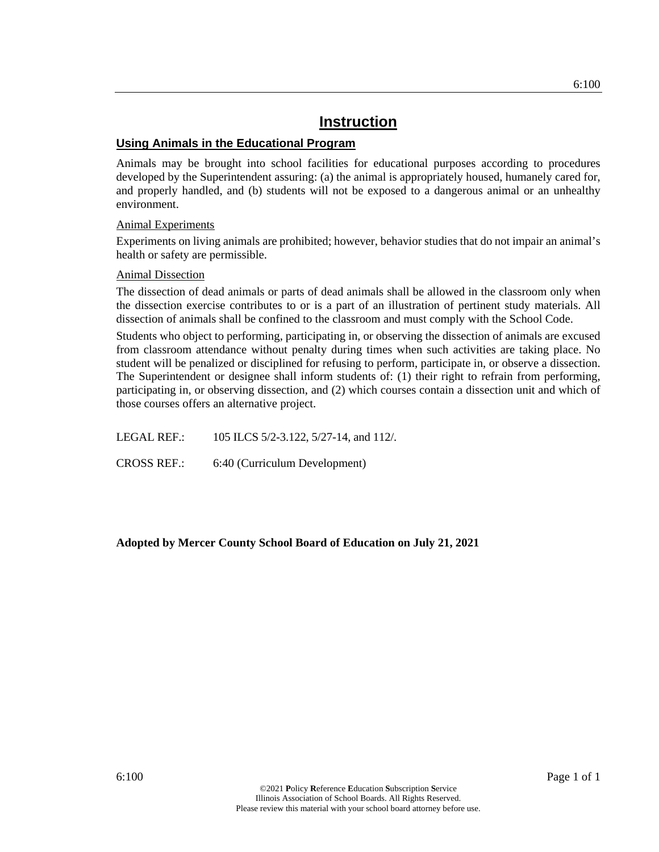#### **Using Animals in the Educational Program**

Animals may be brought into school facilities for educational purposes according to procedures developed by the Superintendent assuring: (a) the animal is appropriately housed, humanely cared for, and properly handled, and (b) students will not be exposed to a dangerous animal or an unhealthy environment.

#### Animal Experiments

Experiments on living animals are prohibited; however, behavior studies that do not impair an animal's health or safety are permissible.

#### Animal Dissection

The dissection of dead animals or parts of dead animals shall be allowed in the classroom only when the dissection exercise contributes to or is a part of an illustration of pertinent study materials. All dissection of animals shall be confined to the classroom and must comply with the School Code.

Students who object to performing, participating in, or observing the dissection of animals are excused from classroom attendance without penalty during times when such activities are taking place. No student will be penalized or disciplined for refusing to perform, participate in, or observe a dissection. The Superintendent or designee shall inform students of: (1) their right to refrain from performing, participating in, or observing dissection, and (2) which courses contain a dissection unit and which of those courses offers an alternative project.

LEGAL REF.: 105 ILCS 5/2-3.122, 5/27-14, and 112/.

CROSS REF.: 6:40 (Curriculum Development)

**Adopted by Mercer County School Board of Education on July 21, 2021**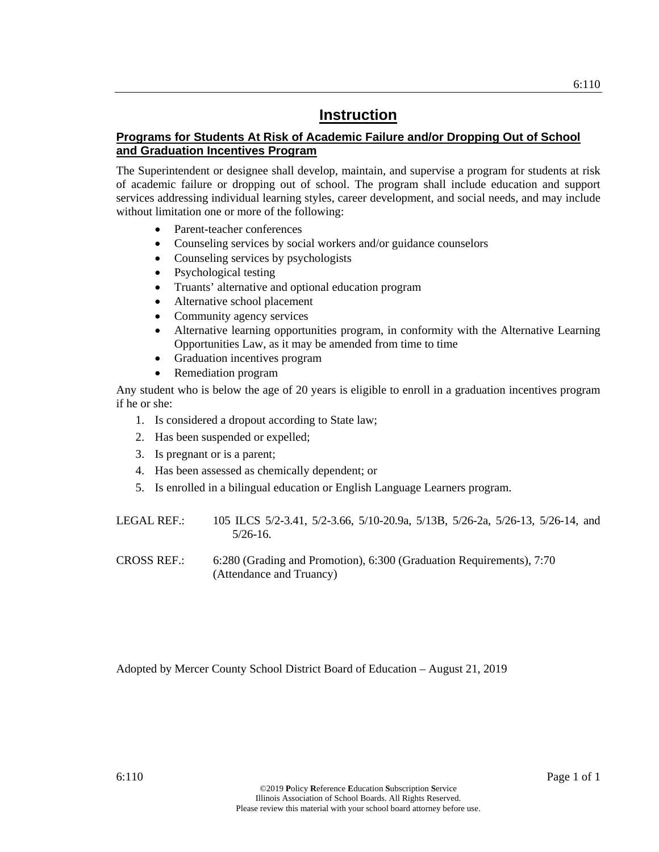### **Programs for Students At Risk of Academic Failure and/or Dropping Out of School and Graduation Incentives Program**

The Superintendent or designee shall develop, maintain, and supervise a program for students at risk of academic failure or dropping out of school. The program shall include education and support services addressing individual learning styles, career development, and social needs, and may include without limitation one or more of the following:

**Instruction** 

- Parent-teacher conferences
- Counseling services by social workers and/or guidance counselors
- Counseling services by psychologists
- Psychological testing
- Truants' alternative and optional education program
- Alternative school placement
- Community agency services
- Alternative learning opportunities program, in conformity with the Alternative Learning Opportunities Law, as it may be amended from time to time
- Graduation incentives program
- Remediation program

Any student who is below the age of 20 years is eligible to enroll in a graduation incentives program if he or she:

- 1. Is considered a dropout according to State law;
- 2. Has been suspended or expelled;
- 3. Is pregnant or is a parent;
- 4. Has been assessed as chemically dependent; or
- 5. Is enrolled in a bilingual education or English Language Learners program.

| LEGAL REF.: . | 105 ILCS 5/2-3.41, 5/2-3.66, 5/10-20.9a, 5/13B, 5/26-2a, 5/26-13, 5/26-14, and |  |  |  |  |
|---------------|--------------------------------------------------------------------------------|--|--|--|--|
|               | $5/26 - 16$ .                                                                  |  |  |  |  |

CROSS REF.: 6:280 (Grading and Promotion), 6:300 (Graduation Requirements), 7:70 (Attendance and Truancy)

Adopted by Mercer County School District Board of Education – August 21, 2019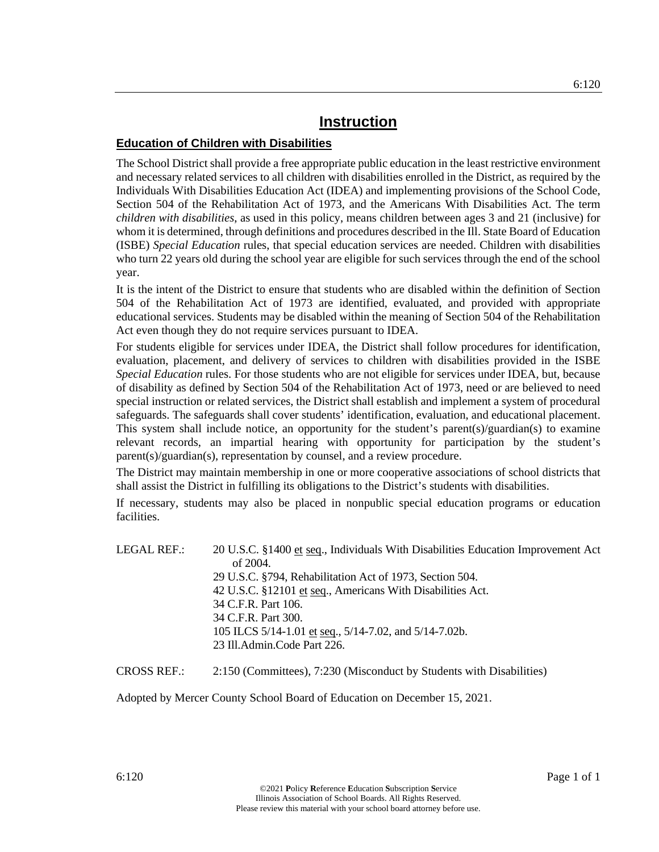#### **Education of Children with Disabilities**

The School District shall provide a free appropriate public education in the least restrictive environment and necessary related services to all children with disabilities enrolled in the District, as required by the Individuals With Disabilities Education Act (IDEA) and implementing provisions of the School Code, Section 504 of the Rehabilitation Act of 1973, and the Americans With Disabilities Act. The term *children with disabilities*, as used in this policy, means children between ages 3 and 21 (inclusive) for whom it is determined, through definitions and procedures described in the Ill. State Board of Education (ISBE) *Special Education* rules, that special education services are needed. Children with disabilities who turn 22 years old during the school year are eligible for such services through the end of the school year.

It is the intent of the District to ensure that students who are disabled within the definition of Section 504 of the Rehabilitation Act of 1973 are identified, evaluated, and provided with appropriate educational services. Students may be disabled within the meaning of Section 504 of the Rehabilitation Act even though they do not require services pursuant to IDEA.

For students eligible for services under IDEA, the District shall follow procedures for identification, evaluation, placement, and delivery of services to children with disabilities provided in the ISBE *Special Education* rules. For those students who are not eligible for services under IDEA, but, because of disability as defined by Section 504 of the Rehabilitation Act of 1973, need or are believed to need special instruction or related services, the District shall establish and implement a system of procedural safeguards. The safeguards shall cover students' identification, evaluation, and educational placement. This system shall include notice, an opportunity for the student's parent(s)/guardian(s) to examine relevant records, an impartial hearing with opportunity for participation by the student's parent(s)/guardian(s), representation by counsel, and a review procedure.

The District may maintain membership in one or more cooperative associations of school districts that shall assist the District in fulfilling its obligations to the District's students with disabilities.

If necessary, students may also be placed in nonpublic special education programs or education facilities.

| LEGAL REF.: | 20 U.S.C. §1400 et seq., Individuals With Disabilities Education Improvement Act |
|-------------|----------------------------------------------------------------------------------|
|             | of $2004$ .                                                                      |
|             | 29 U.S.C. §794, Rehabilitation Act of 1973, Section 504.                         |
|             | 42 U.S.C. §12101 et seq., Americans With Disabilities Act.                       |
|             | 34 C.F.R. Part 106.                                                              |
|             | 34 C.F.R. Part 300.                                                              |
|             | 105 ILCS 5/14-1.01 et seq., 5/14-7.02, and 5/14-7.02b.                           |
|             | 23 Ill.Admin.Code Part 226.                                                      |
|             |                                                                                  |

CROSS REF.: 2:150 (Committees), 7:230 (Misconduct by Students with Disabilities)

Adopted by Mercer County School Board of Education on December 15, 2021.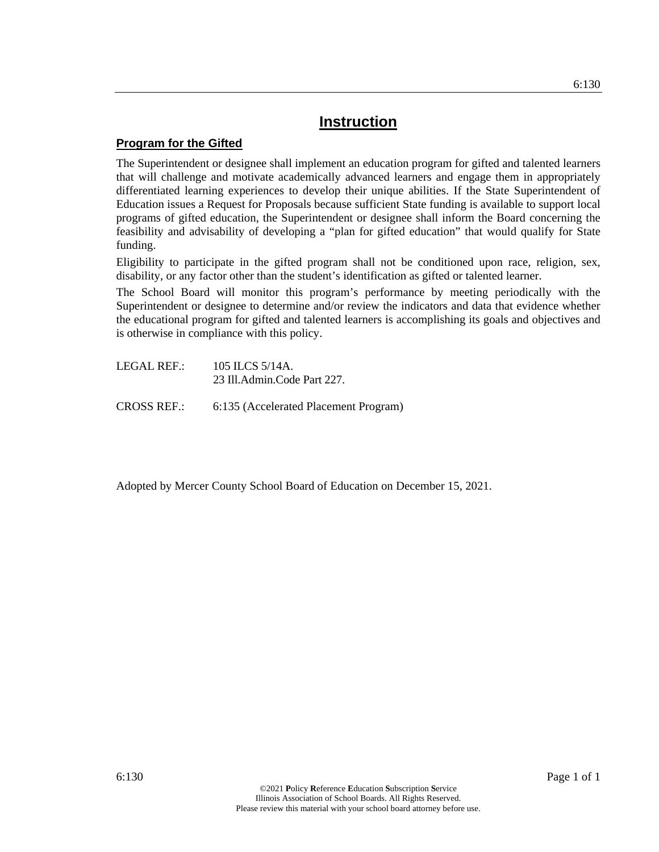#### **Program for the Gifted**

The Superintendent or designee shall implement an education program for gifted and talented learners that will challenge and motivate academically advanced learners and engage them in appropriately differentiated learning experiences to develop their unique abilities. If the State Superintendent of Education issues a Request for Proposals because sufficient State funding is available to support local programs of gifted education, the Superintendent or designee shall inform the Board concerning the feasibility and advisability of developing a "plan for gifted education" that would qualify for State funding.

Eligibility to participate in the gifted program shall not be conditioned upon race, religion, sex, disability, or any factor other than the student's identification as gifted or talented learner.

The School Board will monitor this program's performance by meeting periodically with the Superintendent or designee to determine and/or review the indicators and data that evidence whether the educational program for gifted and talented learners is accomplishing its goals and objectives and is otherwise in compliance with this policy.

LEGAL REF.: 105 ILCS 5/14A. 23 Ill.Admin.Code Part 227.

CROSS REF.: 6:135 (Accelerated Placement Program)

Adopted by Mercer County School Board of Education on December 15, 2021.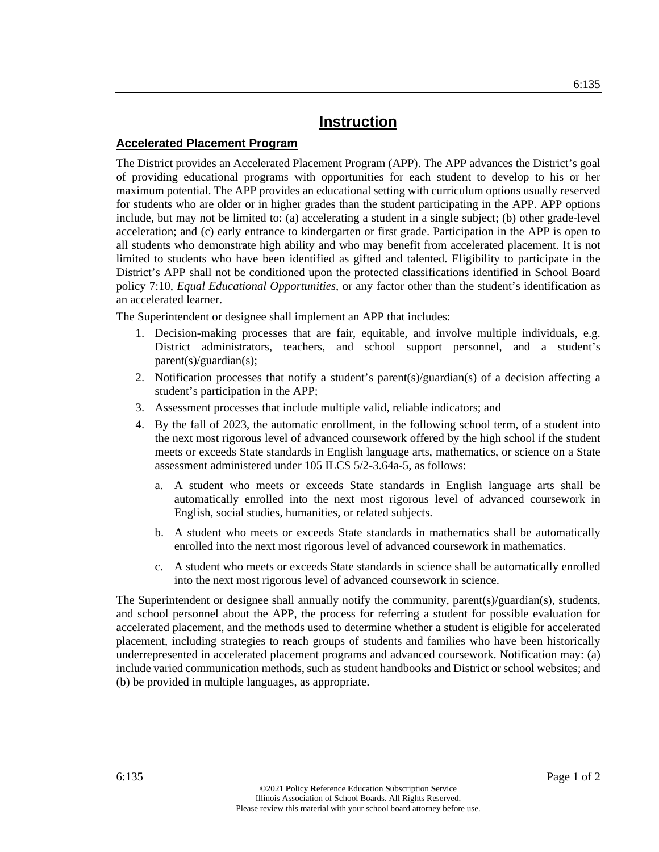#### **Accelerated Placement Program**

The District provides an Accelerated Placement Program (APP). The APP advances the District's goal of providing educational programs with opportunities for each student to develop to his or her maximum potential. The APP provides an educational setting with curriculum options usually reserved for students who are older or in higher grades than the student participating in the APP. APP options include, but may not be limited to: (a) accelerating a student in a single subject; (b) other grade-level acceleration; and (c) early entrance to kindergarten or first grade. Participation in the APP is open to all students who demonstrate high ability and who may benefit from accelerated placement. It is not limited to students who have been identified as gifted and talented. Eligibility to participate in the District's APP shall not be conditioned upon the protected classifications identified in School Board policy 7:10, *Equal Educational Opportunities*, or any factor other than the student's identification as an accelerated learner.

The Superintendent or designee shall implement an APP that includes:

- 1. Decision-making processes that are fair, equitable, and involve multiple individuals, e.g. District administrators, teachers, and school support personnel, and a student's parent(s)/guardian(s);
- 2. Notification processes that notify a student's parent(s)/guardian(s) of a decision affecting a student's participation in the APP;
- 3. Assessment processes that include multiple valid, reliable indicators; and
- 4. By the fall of 2023, the automatic enrollment, in the following school term, of a student into the next most rigorous level of advanced coursework offered by the high school if the student meets or exceeds State standards in English language arts, mathematics, or science on a State assessment administered under 105 ILCS 5/2-3.64a-5, as follows:
	- a. A student who meets or exceeds State standards in English language arts shall be automatically enrolled into the next most rigorous level of advanced coursework in English, social studies, humanities, or related subjects.
	- b. A student who meets or exceeds State standards in mathematics shall be automatically enrolled into the next most rigorous level of advanced coursework in mathematics.
	- c. A student who meets or exceeds State standards in science shall be automatically enrolled into the next most rigorous level of advanced coursework in science.

The Superintendent or designee shall annually notify the community, parent(s)/guardian(s), students, and school personnel about the APP, the process for referring a student for possible evaluation for accelerated placement, and the methods used to determine whether a student is eligible for accelerated placement, including strategies to reach groups of students and families who have been historically underrepresented in accelerated placement programs and advanced coursework. Notification may: (a) include varied communication methods, such as student handbooks and District or school websites; and (b) be provided in multiple languages, as appropriate.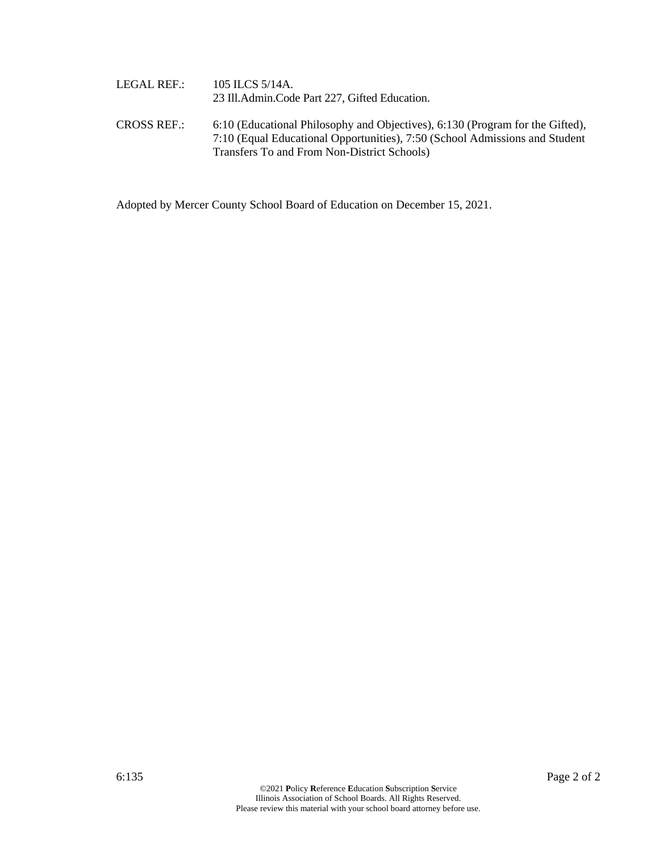| LEGAL REF.: . | 105 ILCS 5/14A.<br>23 Ill.Admin.Code Part 227, Gifted Education.                                                                                             |
|---------------|--------------------------------------------------------------------------------------------------------------------------------------------------------------|
| CROSS REF.: . | 6:10 (Educational Philosophy and Objectives), 6:130 (Program for the Gifted),<br>7:10 (Equal Educational Opportunities), 7:50 (School Admissions and Student |
|               | Transfers To and From Non-District Schools)                                                                                                                  |

Adopted by Mercer County School Board of Education on December 15, 2021.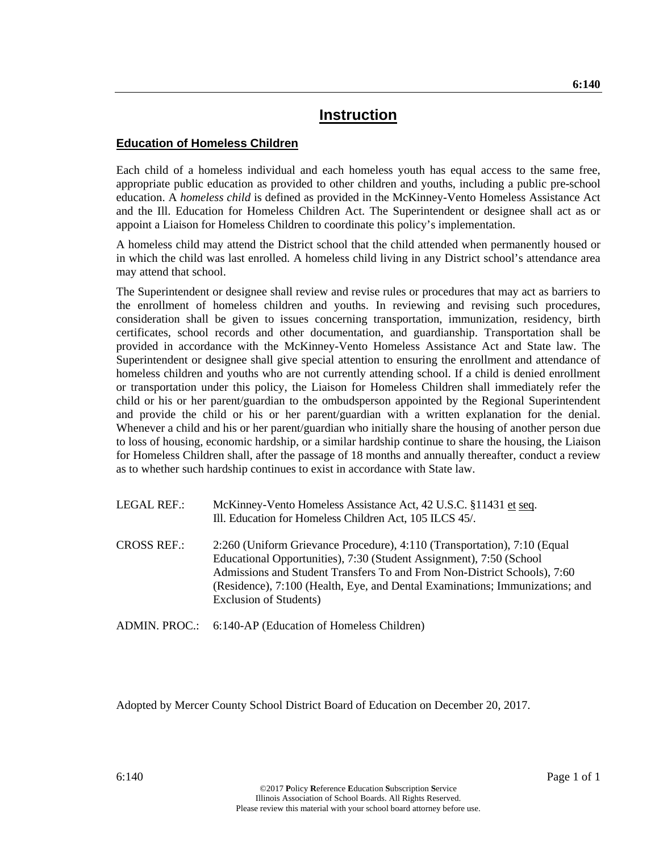#### **Education of Homeless Children**

Each child of a homeless individual and each homeless youth has equal access to the same free, appropriate public education as provided to other children and youths, including a public pre-school education. A *homeless child* is defined as provided in the McKinney-Vento Homeless Assistance Act and the Ill. Education for Homeless Children Act. The Superintendent or designee shall act as or appoint a Liaison for Homeless Children to coordinate this policy's implementation.

A homeless child may attend the District school that the child attended when permanently housed or in which the child was last enrolled. A homeless child living in any District school's attendance area may attend that school.

The Superintendent or designee shall review and revise rules or procedures that may act as barriers to the enrollment of homeless children and youths. In reviewing and revising such procedures, consideration shall be given to issues concerning transportation, immunization, residency, birth certificates, school records and other documentation, and guardianship. Transportation shall be provided in accordance with the McKinney-Vento Homeless Assistance Act and State law. The Superintendent or designee shall give special attention to ensuring the enrollment and attendance of homeless children and youths who are not currently attending school. If a child is denied enrollment or transportation under this policy, the Liaison for Homeless Children shall immediately refer the child or his or her parent/guardian to the ombudsperson appointed by the Regional Superintendent and provide the child or his or her parent/guardian with a written explanation for the denial. Whenever a child and his or her parent/guardian who initially share the housing of another person due to loss of housing, economic hardship, or a similar hardship continue to share the housing, the Liaison for Homeless Children shall, after the passage of 18 months and annually thereafter, conduct a review as to whether such hardship continues to exist in accordance with State law.

- LEGAL REF.: McKinney-Vento Homeless Assistance Act, 42 U.S.C. §11431 et seq. Ill. Education for Homeless Children Act, 105 ILCS 45/.
- CROSS REF.: 2:260 (Uniform Grievance Procedure), 4:110 (Transportation), 7:10 (Equal Educational Opportunities), 7:30 (Student Assignment), 7:50 (School Admissions and Student Transfers To and From Non-District Schools), 7:60 (Residence), 7:100 (Health, Eye, and Dental Examinations; Immunizations; and Exclusion of Students)

ADMIN. PROC.: 6:140-AP (Education of Homeless Children)

Adopted by Mercer County School District Board of Education on December 20, 2017.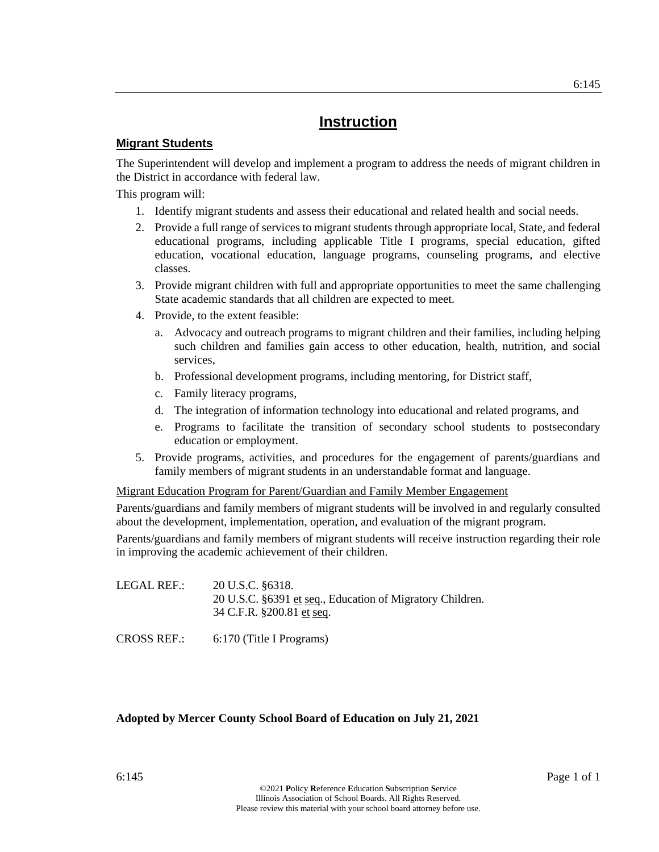#### **Migrant Students**

The Superintendent will develop and implement a program to address the needs of migrant children in the District in accordance with federal law.

This program will:

- 1. Identify migrant students and assess their educational and related health and social needs.
- 2. Provide a full range of services to migrant students through appropriate local, State, and federal educational programs, including applicable Title I programs, special education, gifted education, vocational education, language programs, counseling programs, and elective classes.
- 3. Provide migrant children with full and appropriate opportunities to meet the same challenging State academic standards that all children are expected to meet.
- 4. Provide, to the extent feasible:
	- a. Advocacy and outreach programs to migrant children and their families, including helping such children and families gain access to other education, health, nutrition, and social services,
	- b. Professional development programs, including mentoring, for District staff,
	- c. Family literacy programs,
	- d. The integration of information technology into educational and related programs, and
	- e. Programs to facilitate the transition of secondary school students to postsecondary education or employment.
- 5. Provide programs, activities, and procedures for the engagement of parents/guardians and family members of migrant students in an understandable format and language.

#### Migrant Education Program for Parent/Guardian and Family Member Engagement

Parents/guardians and family members of migrant students will be involved in and regularly consulted about the development, implementation, operation, and evaluation of the migrant program.

Parents/guardians and family members of migrant students will receive instruction regarding their role in improving the academic achievement of their children.

LEGAL REF.: 20 U.S.C. §6318. 20 U.S.C. §6391 et seq., Education of Migratory Children. 34 C.F.R. §200.81 et seq.

CROSS REF.: 6:170 (Title I Programs)

#### **Adopted by Mercer County School Board of Education on July 21, 2021**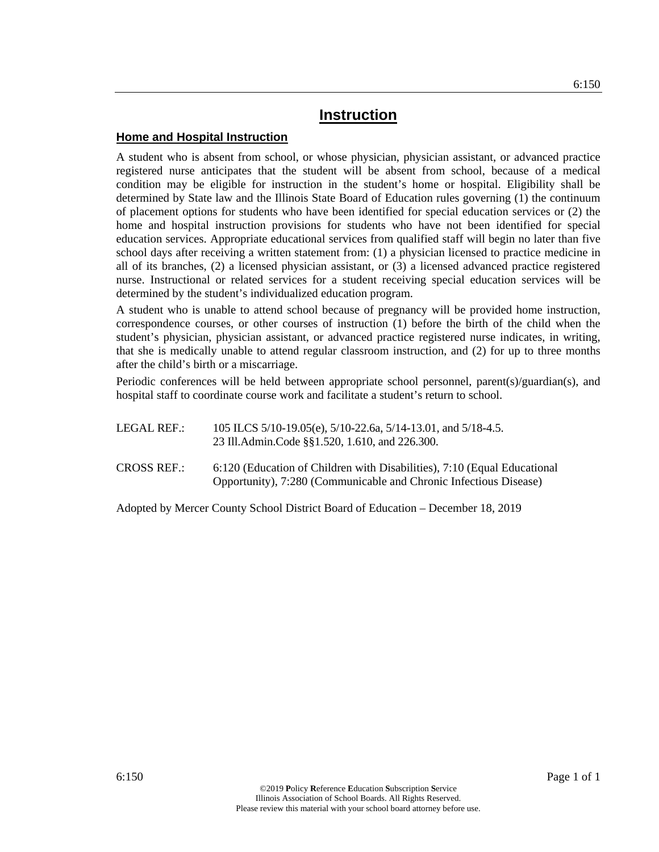#### **Home and Hospital Instruction**

A student who is absent from school, or whose physician, physician assistant, or advanced practice registered nurse anticipates that the student will be absent from school, because of a medical condition may be eligible for instruction in the student's home or hospital. Eligibility shall be determined by State law and the Illinois State Board of Education rules governing (1) the continuum of placement options for students who have been identified for special education services or (2) the home and hospital instruction provisions for students who have not been identified for special education services. Appropriate educational services from qualified staff will begin no later than five school days after receiving a written statement from: (1) a physician licensed to practice medicine in all of its branches, (2) a licensed physician assistant, or (3) a licensed advanced practice registered nurse. Instructional or related services for a student receiving special education services will be determined by the student's individualized education program.

A student who is unable to attend school because of pregnancy will be provided home instruction, correspondence courses, or other courses of instruction (1) before the birth of the child when the student's physician, physician assistant, or advanced practice registered nurse indicates, in writing, that she is medically unable to attend regular classroom instruction, and (2) for up to three months after the child's birth or a miscarriage.

Periodic conferences will be held between appropriate school personnel, parent(s)/guardian(s), and hospital staff to coordinate course work and facilitate a student's return to school.

| LEGAL REF.: | 105 ILCS 5/10-19.05(e), 5/10-22.6a, 5/14-13.01, and 5/18-4.5. |
|-------------|---------------------------------------------------------------|
|             | 23 Ill.Admin.Code §§1.520, 1.610, and 226.300.                |

CROSS REF.: 6:120 (Education of Children with Disabilities), 7:10 (Equal Educational Opportunity), 7:280 (Communicable and Chronic Infectious Disease)

Adopted by Mercer County School District Board of Education – December 18, 2019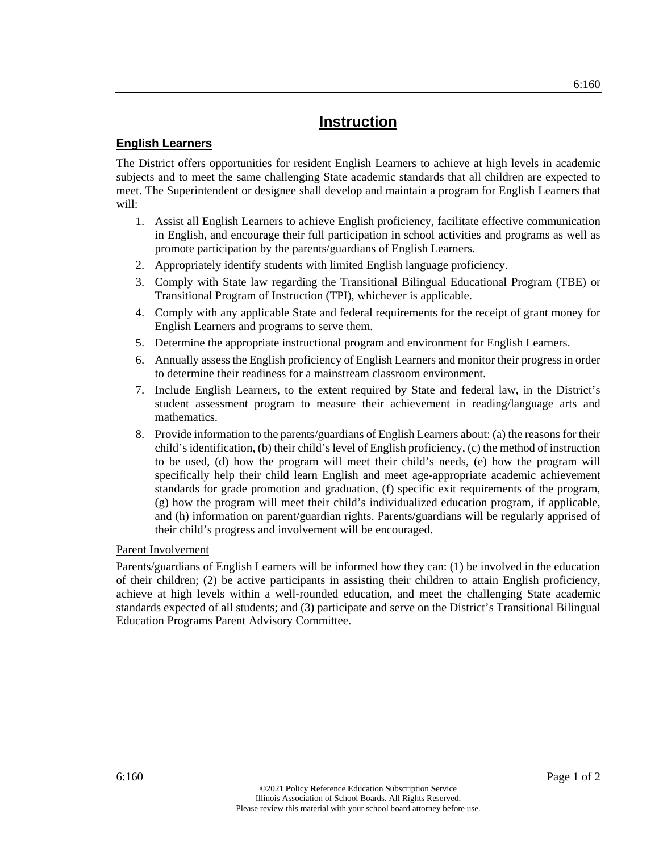6:160

# **Instruction**

#### **English Learners**

The District offers opportunities for resident English Learners to achieve at high levels in academic subjects and to meet the same challenging State academic standards that all children are expected to meet. The Superintendent or designee shall develop and maintain a program for English Learners that will:

- 1. Assist all English Learners to achieve English proficiency, facilitate effective communication in English, and encourage their full participation in school activities and programs as well as promote participation by the parents/guardians of English Learners.
- 2. Appropriately identify students with limited English language proficiency.
- 3. Comply with State law regarding the Transitional Bilingual Educational Program (TBE) or Transitional Program of Instruction (TPI), whichever is applicable.
- 4. Comply with any applicable State and federal requirements for the receipt of grant money for English Learners and programs to serve them.
- 5. Determine the appropriate instructional program and environment for English Learners.
- 6. Annually assess the English proficiency of English Learners and monitor their progress in order to determine their readiness for a mainstream classroom environment.
- 7. Include English Learners, to the extent required by State and federal law, in the District's student assessment program to measure their achievement in reading/language arts and mathematics.
- 8. Provide information to the parents/guardians of English Learners about: (a) the reasons for their child's identification, (b) their child's level of English proficiency, (c) the method of instruction to be used, (d) how the program will meet their child's needs, (e) how the program will specifically help their child learn English and meet age-appropriate academic achievement standards for grade promotion and graduation, (f) specific exit requirements of the program, (g) how the program will meet their child's individualized education program, if applicable, and (h) information on parent/guardian rights. Parents/guardians will be regularly apprised of their child's progress and involvement will be encouraged.

#### Parent Involvement

Parents/guardians of English Learners will be informed how they can: (1) be involved in the education of their children; (2) be active participants in assisting their children to attain English proficiency, achieve at high levels within a well-rounded education, and meet the challenging State academic standards expected of all students; and (3) participate and serve on the District's Transitional Bilingual Education Programs Parent Advisory Committee.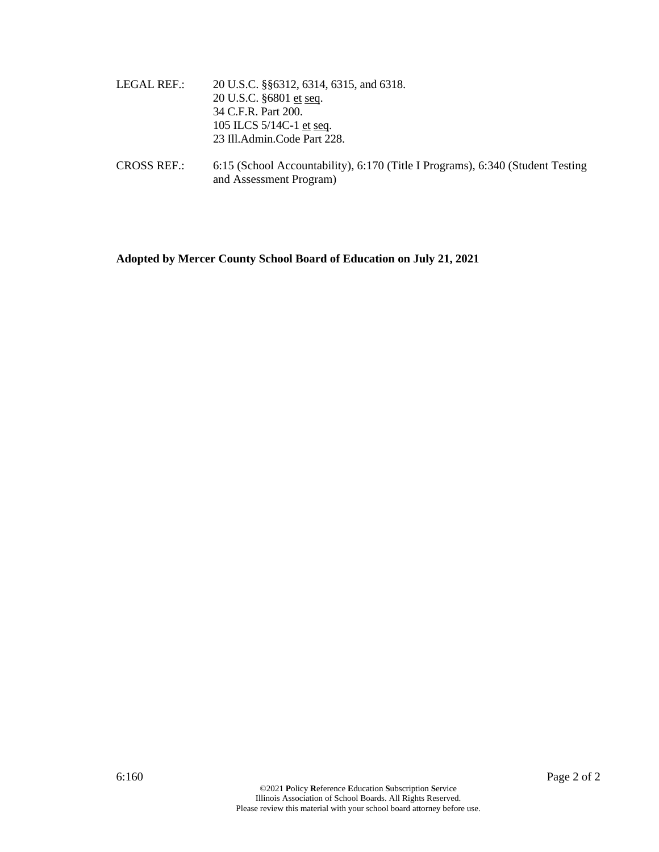- LEGAL REF.: 20 U.S.C. §§6312, 6314, 6315, and 6318. 20 U.S.C. §6801 et seq. 34 C.F.R. Part 200. 105 ILCS 5/14C-1 et seq. 23 Ill.Admin.Code Part 228.
- CROSS REF.: 6:15 (School Accountability), 6:170 (Title I Programs), 6:340 (Student Testing and Assessment Program)

**Adopted by Mercer County School Board of Education on July 21, 2021**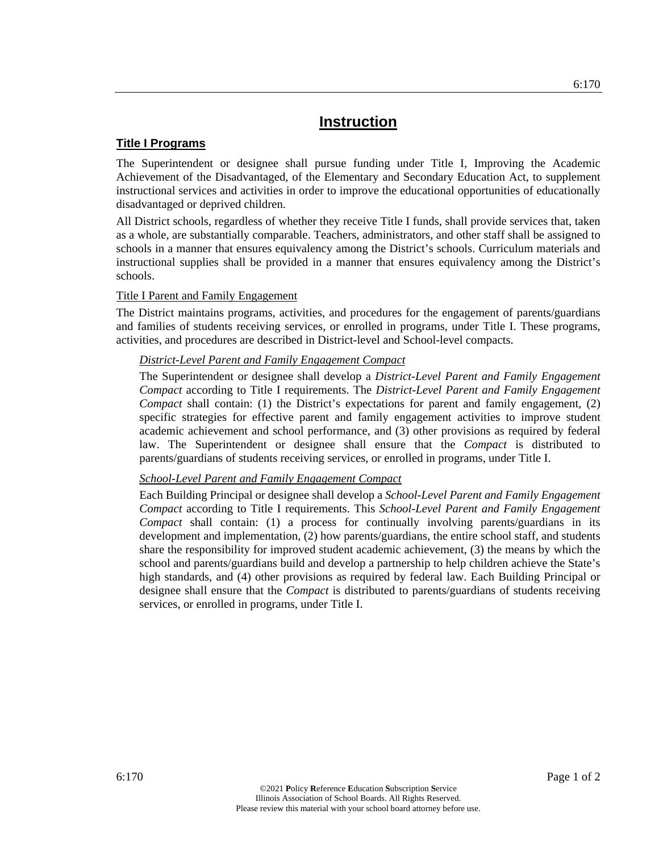#### **Title I Programs**

The Superintendent or designee shall pursue funding under Title I, Improving the Academic Achievement of the Disadvantaged, of the Elementary and Secondary Education Act, to supplement instructional services and activities in order to improve the educational opportunities of educationally disadvantaged or deprived children.

All District schools, regardless of whether they receive Title I funds, shall provide services that, taken as a whole, are substantially comparable. Teachers, administrators, and other staff shall be assigned to schools in a manner that ensures equivalency among the District's schools. Curriculum materials and instructional supplies shall be provided in a manner that ensures equivalency among the District's schools.

#### Title I Parent and Family Engagement

The District maintains programs, activities, and procedures for the engagement of parents/guardians and families of students receiving services, or enrolled in programs, under Title I. These programs, activities, and procedures are described in District-level and School-level compacts.

#### *District-Level Parent and Family Engagement Compact*

The Superintendent or designee shall develop a *District-Level Parent and Family Engagement Compact* according to Title I requirements. The *District-Level Parent and Family Engagement Compact* shall contain: (1) the District's expectations for parent and family engagement, (2) specific strategies for effective parent and family engagement activities to improve student academic achievement and school performance, and (3) other provisions as required by federal law. The Superintendent or designee shall ensure that the *Compact* is distributed to parents/guardians of students receiving services, or enrolled in programs, under Title I.

#### *School-Level Parent and Family Engagement Compact*

Each Building Principal or designee shall develop a *School-Level Parent and Family Engagement Compact* according to Title I requirements. This *School-Level Parent and Family Engagement Compact* shall contain: (1) a process for continually involving parents/guardians in its development and implementation, (2) how parents/guardians, the entire school staff, and students share the responsibility for improved student academic achievement, (3) the means by which the school and parents/guardians build and develop a partnership to help children achieve the State's high standards, and (4) other provisions as required by federal law. Each Building Principal or designee shall ensure that the *Compact* is distributed to parents/guardians of students receiving services, or enrolled in programs, under Title I.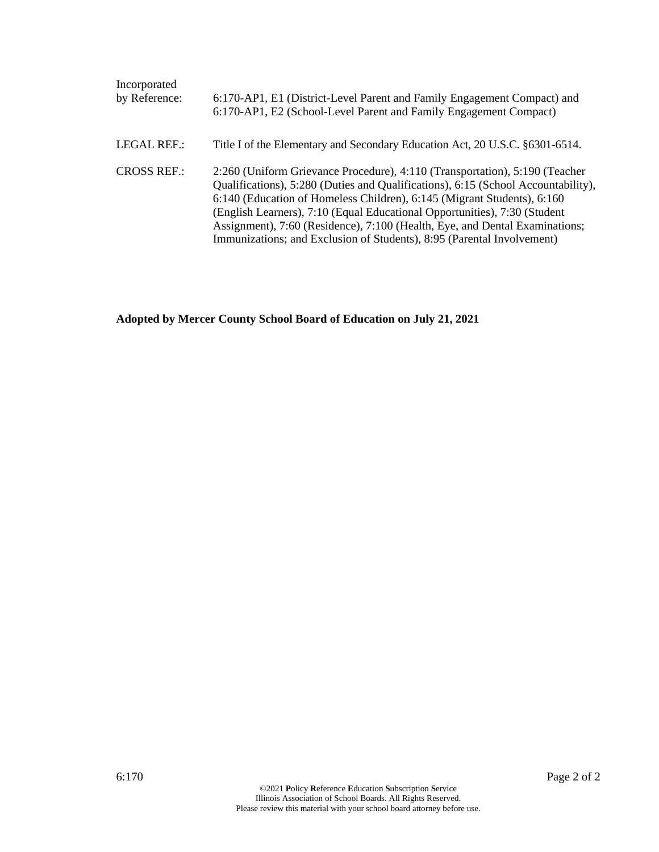| Incorporated<br>by Reference: | 6:170-AP1, E1 (District-Level Parent and Family Engagement Compact) and<br>6:170-AP1, E2 (School-Level Parent and Family Engagement Compact)                                                                                                                                                                                                                                                                                                                                      |
|-------------------------------|-----------------------------------------------------------------------------------------------------------------------------------------------------------------------------------------------------------------------------------------------------------------------------------------------------------------------------------------------------------------------------------------------------------------------------------------------------------------------------------|
| LEGAL REF.:                   | Title I of the Elementary and Secondary Education Act, 20 U.S.C. §6301-6514.                                                                                                                                                                                                                                                                                                                                                                                                      |
| <b>CROSS REF.:</b>            | 2:260 (Uniform Grievance Procedure), 4:110 (Transportation), 5:190 (Teacher<br>Qualifications), 5:280 (Duties and Qualifications), 6:15 (School Accountability),<br>6:140 (Education of Homeless Children), 6:145 (Migrant Students), 6:160<br>(English Learners), 7:10 (Equal Educational Opportunities), 7:30 (Student<br>Assignment), 7:60 (Residence), 7:100 (Health, Eye, and Dental Examinations;<br>Immunizations; and Exclusion of Students), 8:95 (Parental Involvement) |

**Adopted by Mercer County School Board of Education on July 21, 2021**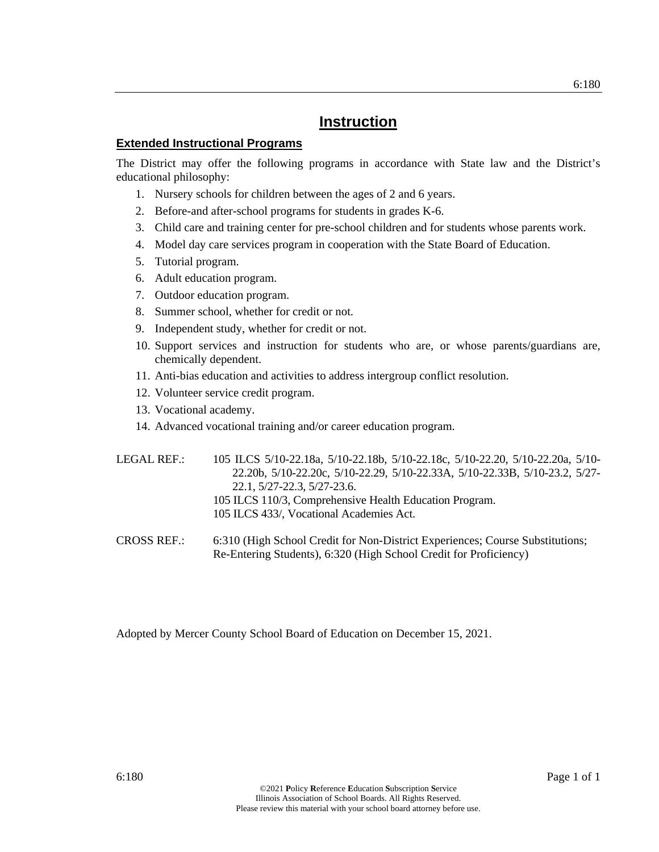#### **Extended Instructional Programs**

The District may offer the following programs in accordance with State law and the District's educational philosophy:

- 1. Nursery schools for children between the ages of 2 and 6 years.
- 2. Before-and after-school programs for students in grades K-6.
- 3. Child care and training center for pre-school children and for students whose parents work.
- 4. Model day care services program in cooperation with the State Board of Education.
- 5. Tutorial program.
- 6. Adult education program.
- 7. Outdoor education program.
- 8. Summer school, whether for credit or not.
- 9. Independent study, whether for credit or not.
- 10. Support services and instruction for students who are, or whose parents/guardians are, chemically dependent.
- 11. Anti-bias education and activities to address intergroup conflict resolution.
- 12. Volunteer service credit program.
- 13. Vocational academy.
- 14. Advanced vocational training and/or career education program.

LEGAL REF.: 105 ILCS 5/10-22.18a, 5/10-22.18b, 5/10-22.18c, 5/10-22.20, 5/10-22.20a, 5/10- 22.20b, 5/10-22.20c, 5/10-22.29, 5/10-22.33A, 5/10-22.33B, 5/10-23.2, 5/27- 22.1, 5/27-22.3, 5/27-23.6. 105 ILCS 110/3, Comprehensive Health Education Program. 105 ILCS 433/, Vocational Academies Act.

CROSS REF.: 6:310 (High School Credit for Non-District Experiences; Course Substitutions; Re-Entering Students), 6:320 (High School Credit for Proficiency)

Adopted by Mercer County School Board of Education on December 15, 2021.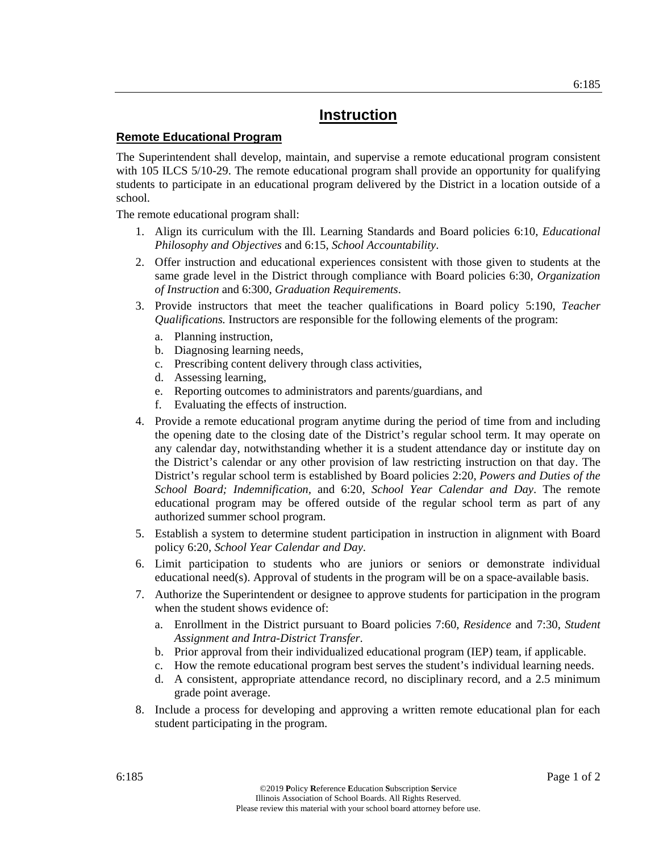#### **Remote Educational Program**

The Superintendent shall develop, maintain, and supervise a remote educational program consistent with 105 ILCS 5/10-29. The remote educational program shall provide an opportunity for qualifying students to participate in an educational program delivered by the District in a location outside of a school.

The remote educational program shall:

- 1. Align its curriculum with the Ill. Learning Standards and Board policies 6:10, *Educational Philosophy and Objectives* and 6:15, *School Accountability*.
- 2. Offer instruction and educational experiences consistent with those given to students at the same grade level in the District through compliance with Board policies 6:30, *Organization of Instruction* and 6:300, *Graduation Requirements*.
- 3. Provide instructors that meet the teacher qualifications in Board policy 5:190, *Teacher Qualifications.* Instructors are responsible for the following elements of the program:
	- a. Planning instruction,
	- b. Diagnosing learning needs,
	- c. Prescribing content delivery through class activities,
	- d. Assessing learning,
	- e. Reporting outcomes to administrators and parents/guardians, and
	- f. Evaluating the effects of instruction.
- 4. Provide a remote educational program anytime during the period of time from and including the opening date to the closing date of the District's regular school term. It may operate on any calendar day, notwithstanding whether it is a student attendance day or institute day on the District's calendar or any other provision of law restricting instruction on that day. The District's regular school term is established by Board policies 2:20, *Powers and Duties of the School Board; Indemnification,* and 6:20, *School Year Calendar and Day*. The remote educational program may be offered outside of the regular school term as part of any authorized summer school program.
- 5. Establish a system to determine student participation in instruction in alignment with Board policy 6:20, *School Year Calendar and Day*.
- 6. Limit participation to students who are juniors or seniors or demonstrate individual educational need(s). Approval of students in the program will be on a space-available basis.
- 7. Authorize the Superintendent or designee to approve students for participation in the program when the student shows evidence of:
	- a. Enrollment in the District pursuant to Board policies 7:60, *Residence* and 7:30, *Student Assignment and Intra-District Transfer*.
	- b. Prior approval from their individualized educational program (IEP) team, if applicable.
	- c. How the remote educational program best serves the student's individual learning needs.
	- d. A consistent, appropriate attendance record, no disciplinary record, and a 2.5 minimum grade point average.
- 8. Include a process for developing and approving a written remote educational plan for each student participating in the program.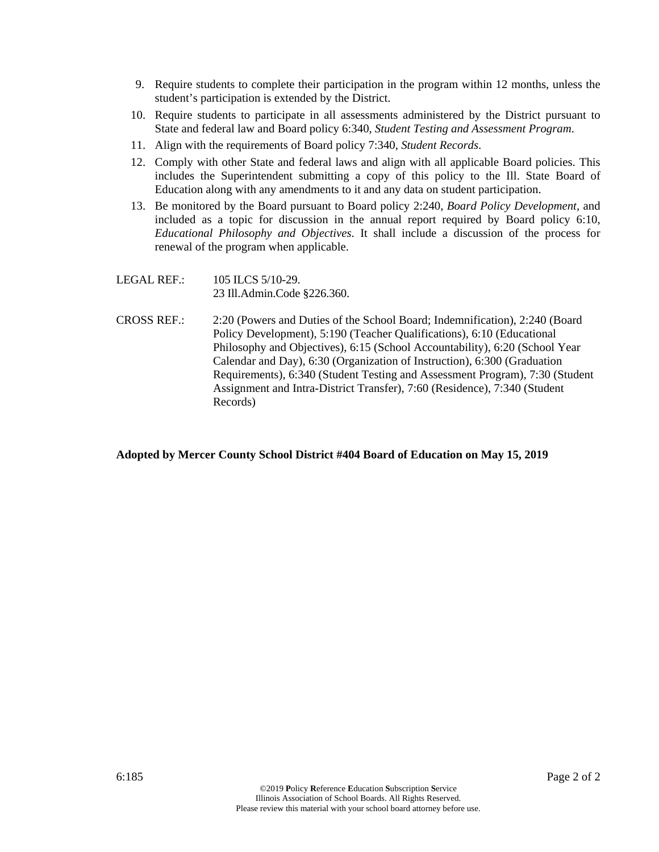- 9. Require students to complete their participation in the program within 12 months, unless the student's participation is extended by the District.
- 10. Require students to participate in all assessments administered by the District pursuant to State and federal law and Board policy 6:340, *Student Testing and Assessment Program*.
- 11. Align with the requirements of Board policy 7:340, *Student Records*.
- 12. Comply with other State and federal laws and align with all applicable Board policies. This includes the Superintendent submitting a copy of this policy to the Ill. State Board of Education along with any amendments to it and any data on student participation.
- 13. Be monitored by the Board pursuant to Board policy 2:240, *Board Policy Development,* and included as a topic for discussion in the annual report required by Board policy 6:10, *Educational Philosophy and Objectives*. It shall include a discussion of the process for renewal of the program when applicable.
- LEGAL REF.: 105 ILCS 5/10-29. 23 Ill.Admin.Code §226.360.
- CROSS REF.: 2:20 (Powers and Duties of the School Board; Indemnification), 2:240 (Board Policy Development), 5:190 (Teacher Qualifications), 6:10 (Educational Philosophy and Objectives), 6:15 (School Accountability), 6:20 (School Year Calendar and Day), 6:30 (Organization of Instruction), 6:300 (Graduation Requirements), 6:340 (Student Testing and Assessment Program), 7:30 (Student Assignment and Intra-District Transfer), 7:60 (Residence), 7:340 (Student Records)

#### **Adopted by Mercer County School District #404 Board of Education on May 15, 2019**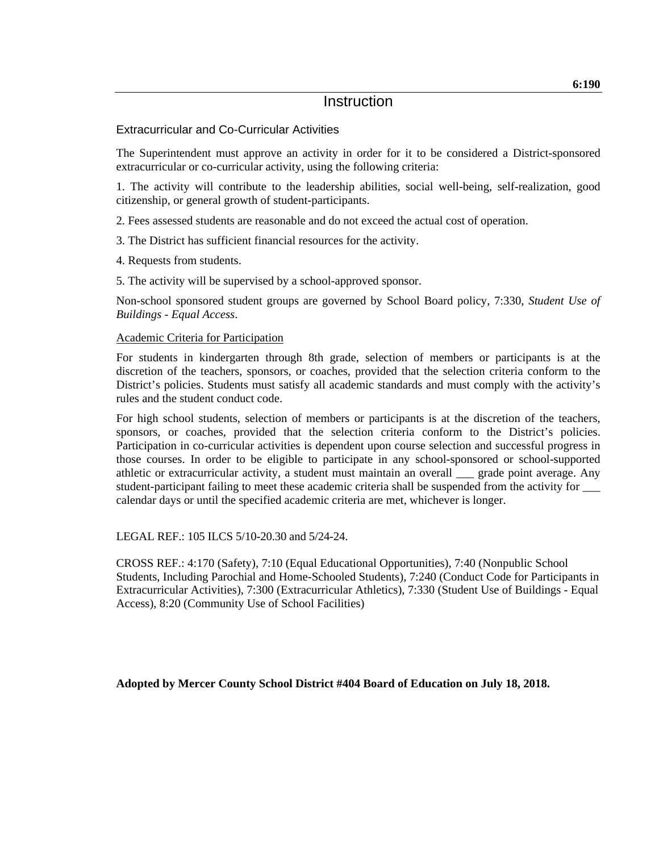#### Extracurricular and Co-Curricular Activities

The Superintendent must approve an activity in order for it to be considered a District-sponsored extracurricular or co-curricular activity, using the following criteria:

1. The activity will contribute to the leadership abilities, social well-being, self-realization, good citizenship, or general growth of student-participants.

2. Fees assessed students are reasonable and do not exceed the actual cost of operation.

3. The District has sufficient financial resources for the activity.

4. Requests from students.

5. The activity will be supervised by a school-approved sponsor.

Non-school sponsored student groups are governed by School Board policy, 7:330, *Student Use of Buildings - Equal Access*.

#### Academic Criteria for Participation

For students in kindergarten through 8th grade, selection of members or participants is at the discretion of the teachers, sponsors, or coaches, provided that the selection criteria conform to the District's policies. Students must satisfy all academic standards and must comply with the activity's rules and the student conduct code.

For high school students, selection of members or participants is at the discretion of the teachers, sponsors, or coaches, provided that the selection criteria conform to the District's policies. Participation in co-curricular activities is dependent upon course selection and successful progress in those courses. In order to be eligible to participate in any school-sponsored or school-supported athletic or extracurricular activity, a student must maintain an overall \_\_\_ grade point average. Any student-participant failing to meet these academic criteria shall be suspended from the activity for \_\_\_ calendar days or until the specified academic criteria are met, whichever is longer.

LEGAL REF.: 105 ILCS 5/10-20.30 and 5/24-24.

CROSS REF.: 4:170 (Safety), 7:10 (Equal Educational Opportunities), 7:40 (Nonpublic School Students, Including Parochial and Home-Schooled Students), 7:240 (Conduct Code for Participants in Extracurricular Activities), 7:300 (Extracurricular Athletics), 7:330 (Student Use of Buildings - Equal Access), 8:20 (Community Use of School Facilities)

#### **Adopted by Mercer County School District #404 Board of Education on July 18, 2018.**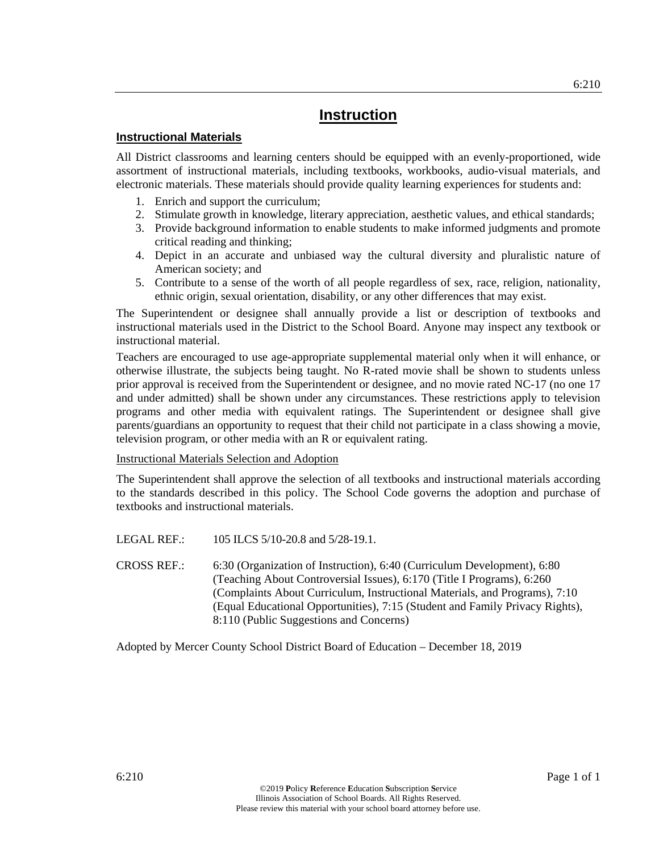#### **Instructional Materials**

All District classrooms and learning centers should be equipped with an evenly-proportioned, wide assortment of instructional materials, including textbooks, workbooks, audio-visual materials, and electronic materials. These materials should provide quality learning experiences for students and:

- 1. Enrich and support the curriculum;
- 2. Stimulate growth in knowledge, literary appreciation, aesthetic values, and ethical standards;
- 3. Provide background information to enable students to make informed judgments and promote critical reading and thinking;
- 4. Depict in an accurate and unbiased way the cultural diversity and pluralistic nature of American society; and
- 5. Contribute to a sense of the worth of all people regardless of sex, race, religion, nationality, ethnic origin, sexual orientation, disability, or any other differences that may exist.

The Superintendent or designee shall annually provide a list or description of textbooks and instructional materials used in the District to the School Board. Anyone may inspect any textbook or instructional material.

Teachers are encouraged to use age-appropriate supplemental material only when it will enhance, or otherwise illustrate, the subjects being taught. No R-rated movie shall be shown to students unless prior approval is received from the Superintendent or designee, and no movie rated NC-17 (no one 17 and under admitted) shall be shown under any circumstances. These restrictions apply to television programs and other media with equivalent ratings. The Superintendent or designee shall give parents/guardians an opportunity to request that their child not participate in a class showing a movie, television program, or other media with an R or equivalent rating.

#### Instructional Materials Selection and Adoption

The Superintendent shall approve the selection of all textbooks and instructional materials according to the standards described in this policy. The School Code governs the adoption and purchase of textbooks and instructional materials.

LEGAL REF.: 105 ILCS 5/10-20.8 and 5/28-19.1.

CROSS REF.: 6:30 (Organization of Instruction), 6:40 (Curriculum Development), 6:80 (Teaching About Controversial Issues), 6:170 (Title I Programs), 6:260 (Complaints About Curriculum, Instructional Materials, and Programs), 7:10 (Equal Educational Opportunities), 7:15 (Student and Family Privacy Rights), 8:110 (Public Suggestions and Concerns)

Adopted by Mercer County School District Board of Education – December 18, 2019

6:210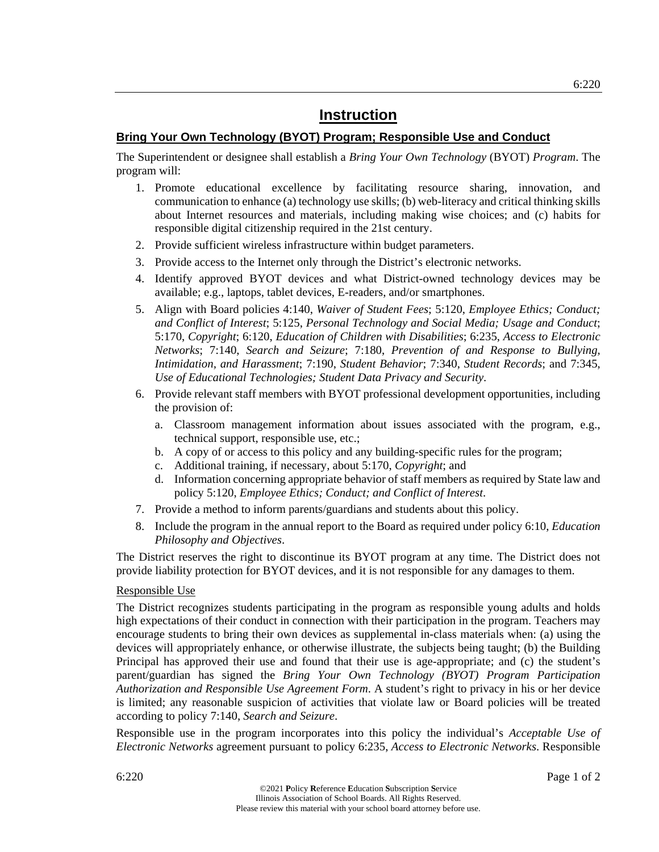#### **Bring Your Own Technology (BYOT) Program; Responsible Use and Conduct**

The Superintendent or designee shall establish a *Bring Your Own Technology* (BYOT) *Program*. The program will:

- 1. Promote educational excellence by facilitating resource sharing, innovation, and communication to enhance (a) technology use skills; (b) web-literacy and critical thinking skills about Internet resources and materials, including making wise choices; and (c) habits for responsible digital citizenship required in the 21st century.
- 2. Provide sufficient wireless infrastructure within budget parameters.
- 3. Provide access to the Internet only through the District's electronic networks.
- 4. Identify approved BYOT devices and what District-owned technology devices may be available; e.g., laptops, tablet devices, E-readers, and/or smartphones.
- 5. Align with Board policies 4:140, *Waiver of Student Fees*; 5:120, *Employee Ethics; Conduct; and Conflict of Interest*; 5:125, *Personal Technology and Social Media; Usage and Conduct*; 5:170, *Copyright*; 6:120, *Education of Children with Disabilities*; 6:235, *Access to Electronic Networks*; 7:140, *Search and Seizure*; 7:180, *Prevention of and Response to Bullying, Intimidation, and Harassment*; 7:190, *Student Behavior*; 7:340, *Student Records*; and 7:345, *Use of Educational Technologies; Student Data Privacy and Security*.
- 6. Provide relevant staff members with BYOT professional development opportunities, including the provision of:
	- a. Classroom management information about issues associated with the program, e.g., technical support, responsible use, etc.;
	- b. A copy of or access to this policy and any building-specific rules for the program;
	- c. Additional training, if necessary, about 5:170, *Copyright*; and
	- d. Information concerning appropriate behavior of staff members as required by State law and policy 5:120, *Employee Ethics; Conduct; and Conflict of Interest*.
- 7. Provide a method to inform parents/guardians and students about this policy.
- 8. Include the program in the annual report to the Board as required under policy 6:10, *Education Philosophy and Objectives*.

The District reserves the right to discontinue its BYOT program at any time. The District does not provide liability protection for BYOT devices, and it is not responsible for any damages to them.

#### Responsible Use

The District recognizes students participating in the program as responsible young adults and holds high expectations of their conduct in connection with their participation in the program. Teachers may encourage students to bring their own devices as supplemental in-class materials when: (a) using the devices will appropriately enhance, or otherwise illustrate, the subjects being taught; (b) the Building Principal has approved their use and found that their use is age-appropriate; and (c) the student's parent/guardian has signed the *Bring Your Own Technology (BYOT) Program Participation Authorization and Responsible Use Agreement Form*. A student's right to privacy in his or her device is limited; any reasonable suspicion of activities that violate law or Board policies will be treated according to policy 7:140, *Search and Seizure*.

Responsible use in the program incorporates into this policy the individual's *Acceptable Use of Electronic Networks* agreement pursuant to policy 6:235, *Access to Electronic Networks*. Responsible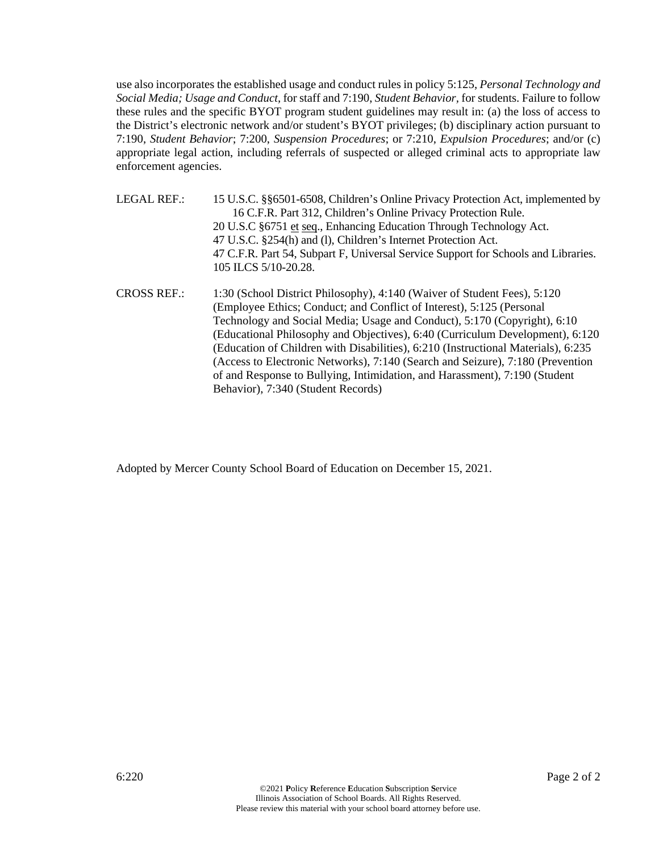use also incorporates the established usage and conduct rules in policy 5:125, *Personal Technology and Social Media; Usage and Conduct,* for staff and 7:190, *Student Behavior,* for students. Failure to follow these rules and the specific BYOT program student guidelines may result in: (a) the loss of access to the District's electronic network and/or student's BYOT privileges; (b) disciplinary action pursuant to 7:190, *Student Behavior*; 7:200, *Suspension Procedures*; or 7:210, *Expulsion Procedures*; and/or (c) appropriate legal action, including referrals of suspected or alleged criminal acts to appropriate law enforcement agencies.

LEGAL REF.: 15 U.S.C. §§6501-6508, Children's Online Privacy Protection Act, implemented by 16 C.F.R. Part 312, Children's Online Privacy Protection Rule. 20 U.S.C §6751 et seq., Enhancing Education Through Technology Act. 47 U.S.C. §254(h) and (l), Children's Internet Protection Act. 47 C.F.R. Part 54, Subpart F, Universal Service Support for Schools and Libraries. 105 ILCS 5/10-20.28. CROSS REF.: 1:30 (School District Philosophy), 4:140 (Waiver of Student Fees), 5:120 (Employee Ethics; Conduct; and Conflict of Interest), 5:125 (Personal Technology and Social Media; Usage and Conduct), 5:170 (Copyright), 6:10 (Educational Philosophy and Objectives), 6:40 (Curriculum Development), 6:120 (Education of Children with Disabilities), 6:210 (Instructional Materials), 6:235 (Access to Electronic Networks), 7:140 (Search and Seizure), 7:180 (Prevention

of and Response to Bullying, Intimidation, and Harassment), 7:190 (Student

Adopted by Mercer County School Board of Education on December 15, 2021.

Behavior), 7:340 (Student Records)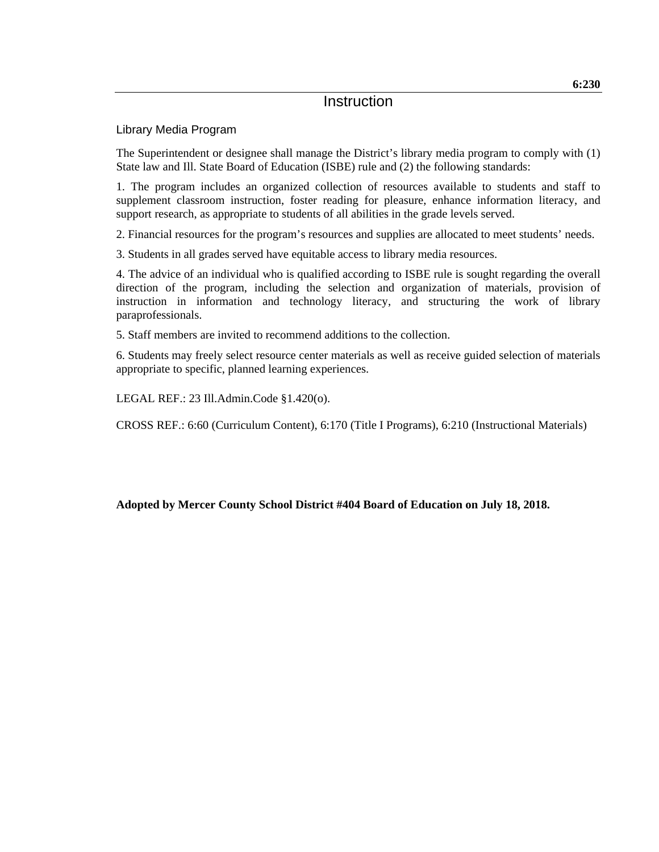#### Library Media Program

The Superintendent or designee shall manage the District's library media program to comply with (1) State law and Ill. State Board of Education (ISBE) rule and (2) the following standards:

1. The program includes an organized collection of resources available to students and staff to supplement classroom instruction, foster reading for pleasure, enhance information literacy, and support research, as appropriate to students of all abilities in the grade levels served.

2. Financial resources for the program's resources and supplies are allocated to meet students' needs.

3. Students in all grades served have equitable access to library media resources.

4. The advice of an individual who is qualified according to ISBE rule is sought regarding the overall direction of the program, including the selection and organization of materials, provision of instruction in information and technology literacy, and structuring the work of library paraprofessionals.

5. Staff members are invited to recommend additions to the collection.

6. Students may freely select resource center materials as well as receive guided selection of materials appropriate to specific, planned learning experiences.

LEGAL REF.: 23 Ill.Admin.Code §1.420(o).

CROSS REF.: 6:60 (Curriculum Content), 6:170 (Title I Programs), 6:210 (Instructional Materials)

**Adopted by Mercer County School District #404 Board of Education on July 18, 2018.**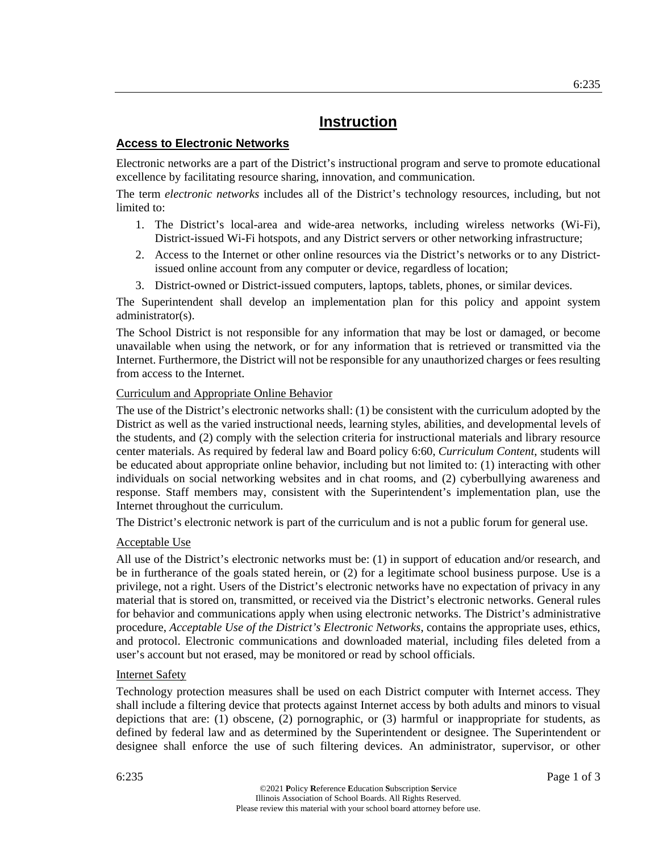#### **Access to Electronic Networks**

Electronic networks are a part of the District's instructional program and serve to promote educational excellence by facilitating resource sharing, innovation, and communication.

The term *electronic networks* includes all of the District's technology resources, including, but not limited to:

- 1. The District's local-area and wide-area networks, including wireless networks (Wi-Fi), District-issued Wi-Fi hotspots, and any District servers or other networking infrastructure;
- 2. Access to the Internet or other online resources via the District's networks or to any Districtissued online account from any computer or device, regardless of location;
- 3. District-owned or District-issued computers, laptops, tablets, phones, or similar devices.

The Superintendent shall develop an implementation plan for this policy and appoint system administrator(s).

The School District is not responsible for any information that may be lost or damaged, or become unavailable when using the network, or for any information that is retrieved or transmitted via the Internet. Furthermore, the District will not be responsible for any unauthorized charges or fees resulting from access to the Internet.

#### Curriculum and Appropriate Online Behavior

The use of the District's electronic networks shall: (1) be consistent with the curriculum adopted by the District as well as the varied instructional needs, learning styles, abilities, and developmental levels of the students, and (2) comply with the selection criteria for instructional materials and library resource center materials. As required by federal law and Board policy 6:60, *Curriculum Content*, students will be educated about appropriate online behavior, including but not limited to: (1) interacting with other individuals on social networking websites and in chat rooms, and (2) cyberbullying awareness and response. Staff members may, consistent with the Superintendent's implementation plan, use the Internet throughout the curriculum.

The District's electronic network is part of the curriculum and is not a public forum for general use.

#### Acceptable Use

All use of the District's electronic networks must be: (1) in support of education and/or research, and be in furtherance of the goals stated herein, or (2) for a legitimate school business purpose. Use is a privilege, not a right. Users of the District's electronic networks have no expectation of privacy in any material that is stored on, transmitted, or received via the District's electronic networks. General rules for behavior and communications apply when using electronic networks. The District's administrative procedure, *Acceptable Use of the District's Electronic Networks*, contains the appropriate uses, ethics, and protocol. Electronic communications and downloaded material, including files deleted from a user's account but not erased, may be monitored or read by school officials.

#### Internet Safety

Technology protection measures shall be used on each District computer with Internet access. They shall include a filtering device that protects against Internet access by both adults and minors to visual depictions that are: (1) obscene, (2) pornographic, or (3) harmful or inappropriate for students, as defined by federal law and as determined by the Superintendent or designee. The Superintendent or designee shall enforce the use of such filtering devices. An administrator, supervisor, or other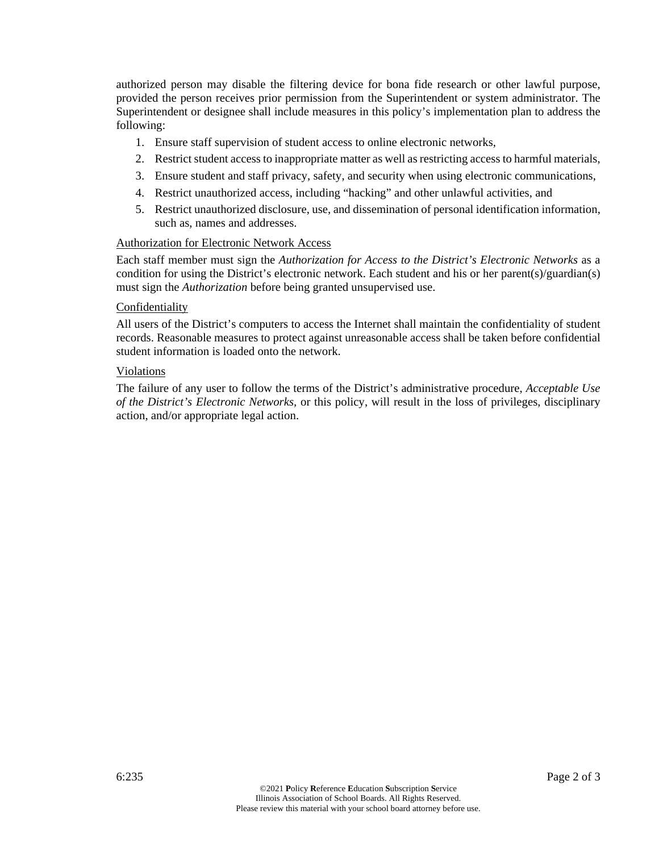authorized person may disable the filtering device for bona fide research or other lawful purpose, provided the person receives prior permission from the Superintendent or system administrator. The Superintendent or designee shall include measures in this policy's implementation plan to address the following:

- 1. Ensure staff supervision of student access to online electronic networks,
- 2. Restrict student access to inappropriate matter as well as restricting access to harmful materials,
- 3. Ensure student and staff privacy, safety, and security when using electronic communications,
- 4. Restrict unauthorized access, including "hacking" and other unlawful activities, and
- 5. Restrict unauthorized disclosure, use, and dissemination of personal identification information, such as, names and addresses.

#### Authorization for Electronic Network Access

Each staff member must sign the *Authorization for Access to the District's Electronic Networks* as a condition for using the District's electronic network. Each student and his or her parent(s)/guardian(s) must sign the *Authorization* before being granted unsupervised use.

#### Confidentiality

All users of the District's computers to access the Internet shall maintain the confidentiality of student records. Reasonable measures to protect against unreasonable access shall be taken before confidential student information is loaded onto the network.

#### Violations

The failure of any user to follow the terms of the District's administrative procedure, *Acceptable Use of the District's Electronic Networks,* or this policy, will result in the loss of privileges, disciplinary action, and/or appropriate legal action.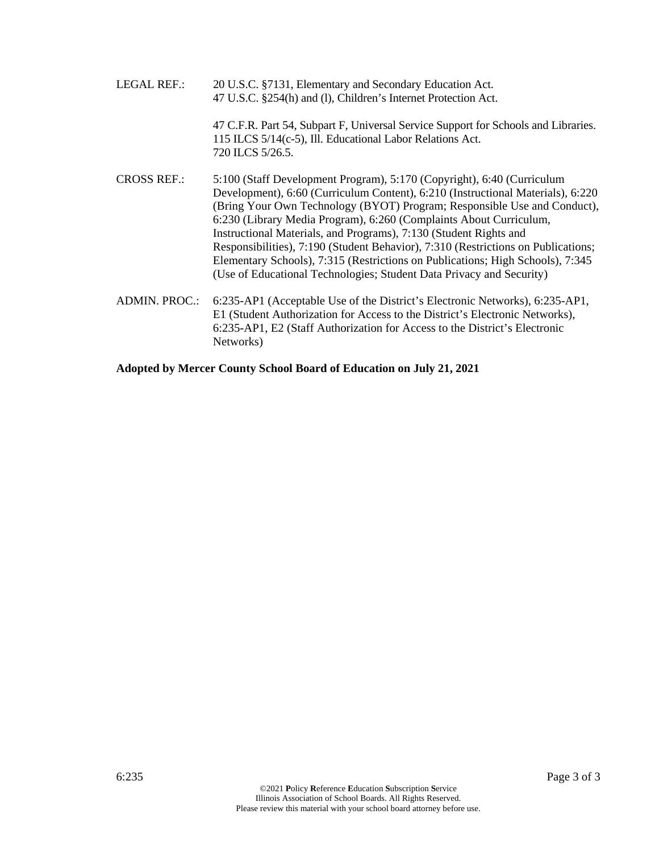LEGAL REF.: 20 U.S.C. §7131, Elementary and Secondary Education Act. 47 U.S.C. §254(h) and (l), Children's Internet Protection Act. 47 C.F.R. Part 54, Subpart F, Universal Service Support for Schools and Libraries. 115 ILCS 5/14(c-5), Ill. Educational Labor Relations Act. 720 ILCS 5/26.5. CROSS REF.: 5:100 (Staff Development Program), 5:170 (Copyright), 6:40 (Curriculum Development), 6:60 (Curriculum Content), 6:210 (Instructional Materials), 6:220 (Bring Your Own Technology (BYOT) Program; Responsible Use and Conduct), 6:230 (Library Media Program), 6:260 (Complaints About Curriculum, Instructional Materials, and Programs), 7:130 (Student Rights and Responsibilities), 7:190 (Student Behavior), 7:310 (Restrictions on Publications; Elementary Schools), 7:315 (Restrictions on Publications; High Schools), 7:345 (Use of Educational Technologies; Student Data Privacy and Security) ADMIN. PROC.: 6:235-AP1 (Acceptable Use of the District's Electronic Networks), 6:235-AP1, E1 (Student Authorization for Access to the District's Electronic Networks), 6:235-AP1, E2 (Staff Authorization for Access to the District's Electronic

**Adopted by Mercer County School Board of Education on July 21, 2021**

Networks)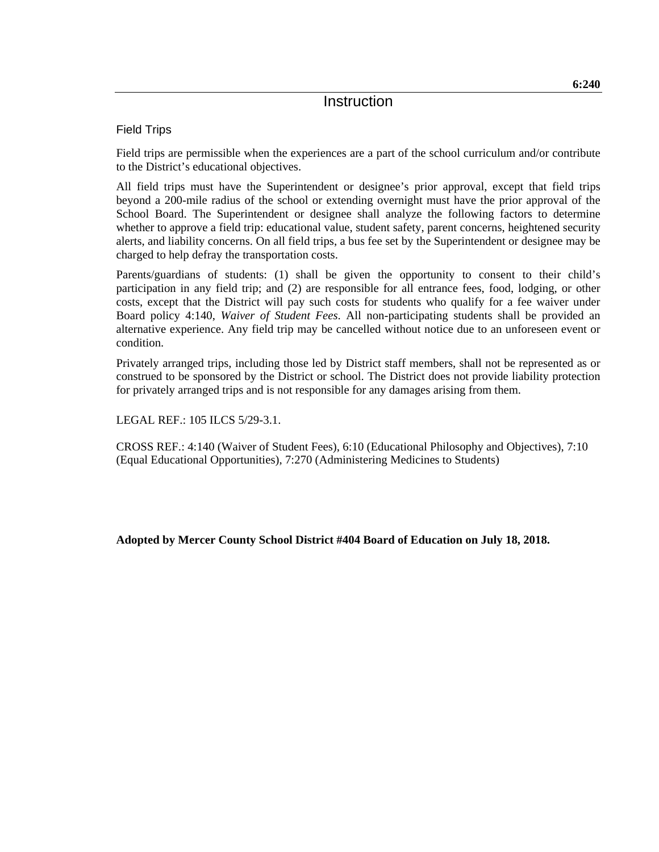Field Trips

Field trips are permissible when the experiences are a part of the school curriculum and/or contribute to the District's educational objectives.

All field trips must have the Superintendent or designee's prior approval, except that field trips beyond a 200-mile radius of the school or extending overnight must have the prior approval of the School Board. The Superintendent or designee shall analyze the following factors to determine whether to approve a field trip: educational value, student safety, parent concerns, heightened security alerts, and liability concerns. On all field trips, a bus fee set by the Superintendent or designee may be charged to help defray the transportation costs.

Parents/guardians of students: (1) shall be given the opportunity to consent to their child's participation in any field trip; and (2) are responsible for all entrance fees, food, lodging, or other costs, except that the District will pay such costs for students who qualify for a fee waiver under Board policy 4:140, *Waiver of Student Fees*. All non-participating students shall be provided an alternative experience. Any field trip may be cancelled without notice due to an unforeseen event or condition.

Privately arranged trips, including those led by District staff members, shall not be represented as or construed to be sponsored by the District or school. The District does not provide liability protection for privately arranged trips and is not responsible for any damages arising from them.

LEGAL REF.: 105 ILCS 5/29-3.1.

CROSS REF.: 4:140 (Waiver of Student Fees), 6:10 (Educational Philosophy and Objectives), 7:10 (Equal Educational Opportunities), 7:270 (Administering Medicines to Students)

**Adopted by Mercer County School District #404 Board of Education on July 18, 2018.**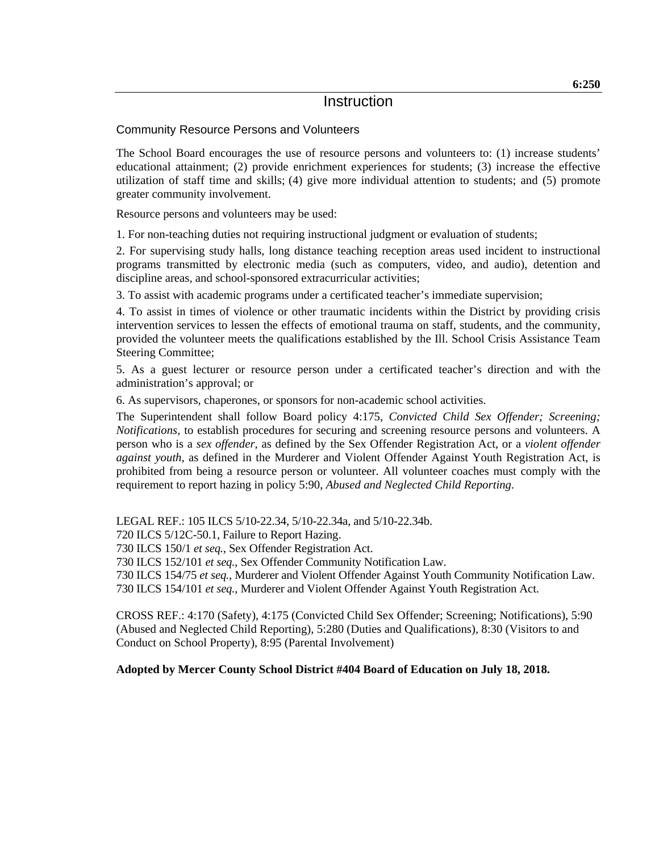#### Community Resource Persons and Volunteers

The School Board encourages the use of resource persons and volunteers to: (1) increase students' educational attainment; (2) provide enrichment experiences for students; (3) increase the effective utilization of staff time and skills; (4) give more individual attention to students; and (5) promote greater community involvement.

Resource persons and volunteers may be used:

1. For non-teaching duties not requiring instructional judgment or evaluation of students;

2. For supervising study halls, long distance teaching reception areas used incident to instructional programs transmitted by electronic media (such as computers, video, and audio), detention and discipline areas, and school-sponsored extracurricular activities;

3. To assist with academic programs under a certificated teacher's immediate supervision;

4. To assist in times of violence or other traumatic incidents within the District by providing crisis intervention services to lessen the effects of emotional trauma on staff, students, and the community, provided the volunteer meets the qualifications established by the Ill. School Crisis Assistance Team Steering Committee;

5. As a guest lecturer or resource person under a certificated teacher's direction and with the administration's approval; or

6. As supervisors, chaperones, or sponsors for non-academic school activities.

The Superintendent shall follow Board policy 4:175, *Convicted Child Sex Offender; Screening; Notifications,* to establish procedures for securing and screening resource persons and volunteers. A person who is a *sex offender*, as defined by the Sex Offender Registration Act, or a *violent offender against youth*, as defined in the Murderer and Violent Offender Against Youth Registration Act, is prohibited from being a resource person or volunteer. All volunteer coaches must comply with the requirement to report hazing in policy 5:90, *Abused and Neglected Child Reporting*.

LEGAL REF.: 105 ILCS 5/10-22.34, 5/10-22.34a, and 5/10-22.34b.

720 ILCS 5/12C-50.1, Failure to Report Hazing.

730 ILCS 150/1 *et seq.*, Sex Offender Registration Act.

730 ILCS 152/101 *et seq.*, Sex Offender Community Notification Law.

730 ILCS 154/75 *et seq.*, Murderer and Violent Offender Against Youth Community Notification Law. 730 ILCS 154/101 *et seq.*, Murderer and Violent Offender Against Youth Registration Act.

CROSS REF.: 4:170 (Safety), 4:175 (Convicted Child Sex Offender; Screening; Notifications), 5:90 (Abused and Neglected Child Reporting), 5:280 (Duties and Qualifications), 8:30 (Visitors to and Conduct on School Property), 8:95 (Parental Involvement)

#### **Adopted by Mercer County School District #404 Board of Education on July 18, 2018.**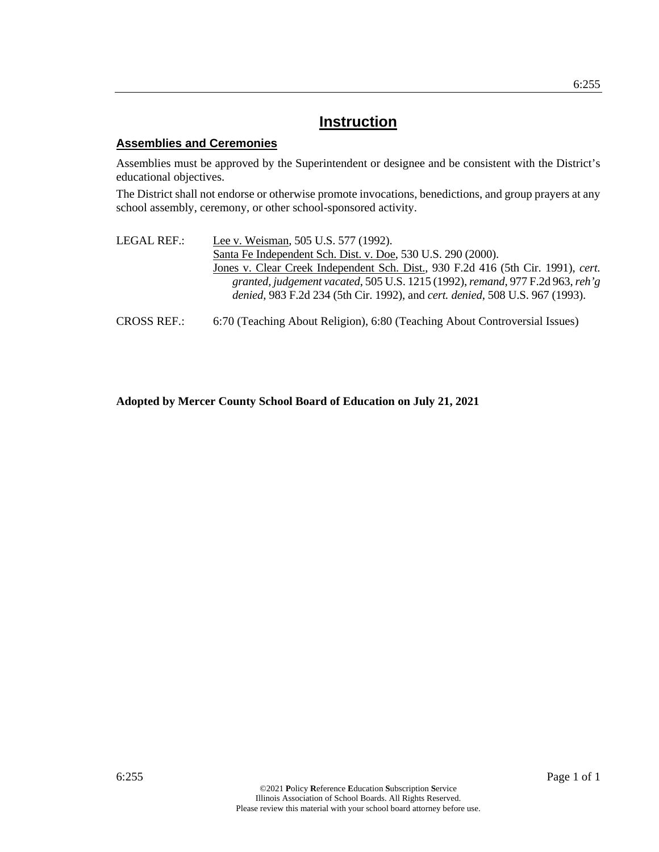#### **Assemblies and Ceremonies**

Assemblies must be approved by the Superintendent or designee and be consistent with the District's educational objectives.

The District shall not endorse or otherwise promote invocations, benedictions, and group prayers at any school assembly, ceremony, or other school-sponsored activity.

- LEGAL REF.: Lee v. Weisman, 505 U.S. 577 (1992). Santa Fe Independent Sch. Dist. v. Doe, 530 U.S. 290 (2000). Jones v. Clear Creek Independent Sch. Dist., 930 F.2d 416 (5th Cir. 1991), *cert. granted, judgement vacated*, 505 U.S. 1215 (1992), *remand*, 977 F.2d 963, *reh'g denied*, 983 F.2d 234 (5th Cir. 1992), and *cert. denied*, 508 U.S. 967 (1993).
- CROSS REF.: 6:70 (Teaching About Religion), 6:80 (Teaching About Controversial Issues)

#### **Adopted by Mercer County School Board of Education on July 21, 2021**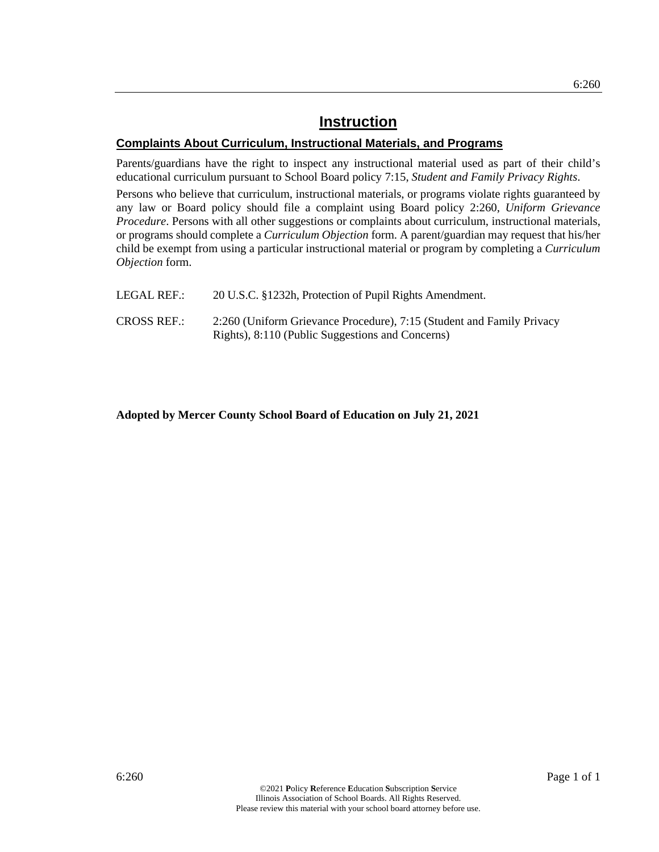#### **Complaints About Curriculum, Instructional Materials, and Programs**

Parents/guardians have the right to inspect any instructional material used as part of their child's educational curriculum pursuant to School Board policy 7:15, *Student and Family Privacy Rights*.

Persons who believe that curriculum, instructional materials, or programs violate rights guaranteed by any law or Board policy should file a complaint using Board policy 2:260, *Uniform Grievance Procedure*. Persons with all other suggestions or complaints about curriculum, instructional materials, or programs should complete a *Curriculum Objection* form. A parent/guardian may request that his/her child be exempt from using a particular instructional material or program by completing a *Curriculum Objection* form.

| LEGAL REF.:        | 20 U.S.C. §1232h, Protection of Pupil Rights Amendment.                                                                   |
|--------------------|---------------------------------------------------------------------------------------------------------------------------|
| <b>CROSS REF.:</b> | 2:260 (Uniform Grievance Procedure), 7:15 (Student and Family Privacy<br>Rights), 8:110 (Public Suggestions and Concerns) |

**Adopted by Mercer County School Board of Education on July 21, 2021**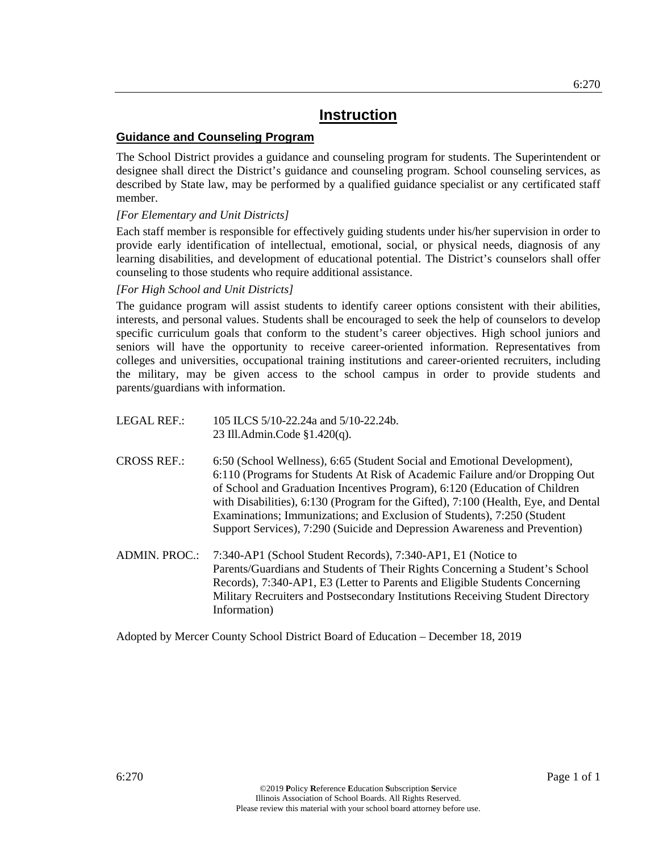#### **Guidance and Counseling Program**

The School District provides a guidance and counseling program for students. The Superintendent or designee shall direct the District's guidance and counseling program. School counseling services, as described by State law, may be performed by a qualified guidance specialist or any certificated staff member.

#### *[For Elementary and Unit Districts]*

Each staff member is responsible for effectively guiding students under his/her supervision in order to provide early identification of intellectual, emotional, social, or physical needs, diagnosis of any learning disabilities, and development of educational potential. The District's counselors shall offer counseling to those students who require additional assistance.

#### *[For High School and Unit Districts]*

The guidance program will assist students to identify career options consistent with their abilities, interests, and personal values. Students shall be encouraged to seek the help of counselors to develop specific curriculum goals that conform to the student's career objectives. High school juniors and seniors will have the opportunity to receive career-oriented information. Representatives from colleges and universities, occupational training institutions and career-oriented recruiters, including the military, may be given access to the school campus in order to provide students and parents/guardians with information.

- LEGAL REF.: 105 ILCS 5/10-22.24a and 5/10-22.24b. 23 Ill.Admin.Code §1.420(q).
- CROSS REF.: 6:50 (School Wellness), 6:65 (Student Social and Emotional Development), 6:110 (Programs for Students At Risk of Academic Failure and/or Dropping Out of School and Graduation Incentives Program), 6:120 (Education of Children with Disabilities), 6:130 (Program for the Gifted), 7:100 (Health, Eye, and Dental Examinations; Immunizations; and Exclusion of Students), 7:250 (Student Support Services), 7:290 (Suicide and Depression Awareness and Prevention)
- ADMIN. PROC.: 7:340-AP1 (School Student Records), 7:340-AP1, E1 (Notice to Parents/Guardians and Students of Their Rights Concerning a Student's School Records)*,* 7:340-AP1, E3 (Letter to Parents and Eligible Students Concerning Military Recruiters and Postsecondary Institutions Receiving Student Directory Information)

Adopted by Mercer County School District Board of Education – December 18, 2019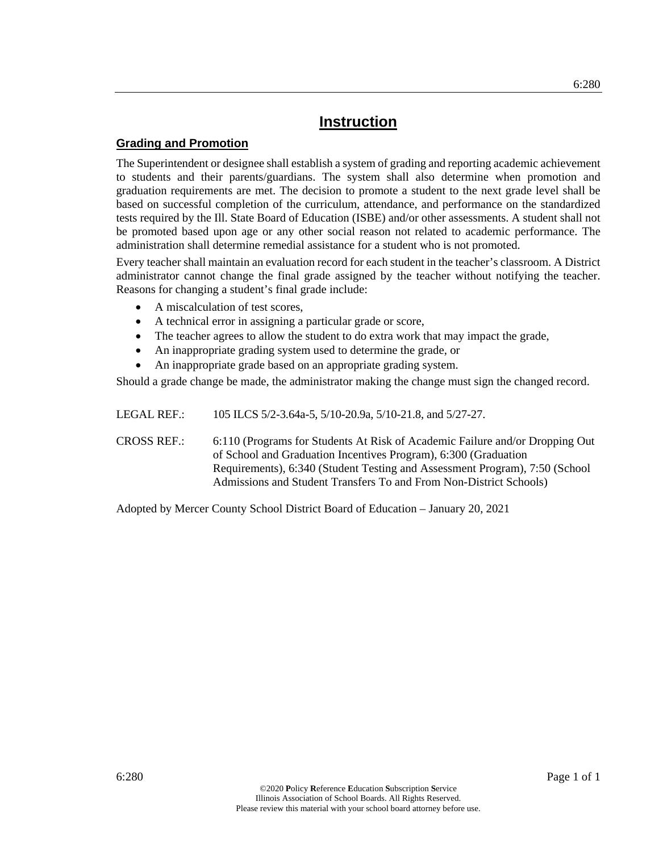#### **Grading and Promotion**

The Superintendent or designee shall establish a system of grading and reporting academic achievement to students and their parents/guardians. The system shall also determine when promotion and graduation requirements are met. The decision to promote a student to the next grade level shall be based on successful completion of the curriculum, attendance, and performance on the standardized tests required by the Ill. State Board of Education (ISBE) and/or other assessments. A student shall not be promoted based upon age or any other social reason not related to academic performance. The administration shall determine remedial assistance for a student who is not promoted.

Every teacher shall maintain an evaluation record for each student in the teacher's classroom. A District administrator cannot change the final grade assigned by the teacher without notifying the teacher. Reasons for changing a student's final grade include:

- A miscalculation of test scores,
- A technical error in assigning a particular grade or score,
- The teacher agrees to allow the student to do extra work that may impact the grade,
- An inappropriate grading system used to determine the grade, or
- An inappropriate grade based on an appropriate grading system.

Should a grade change be made, the administrator making the change must sign the changed record.

LEGAL REF.: 105 ILCS 5/2-3.64a-5, 5/10-20.9a, 5/10-21.8, and 5/27-27.

CROSS REF.: 6:110 (Programs for Students At Risk of Academic Failure and/or Dropping Out of School and Graduation Incentives Program), 6:300 (Graduation Requirements), 6:340 (Student Testing and Assessment Program), 7:50 (School Admissions and Student Transfers To and From Non-District Schools)

Adopted by Mercer County School District Board of Education – January 20, 2021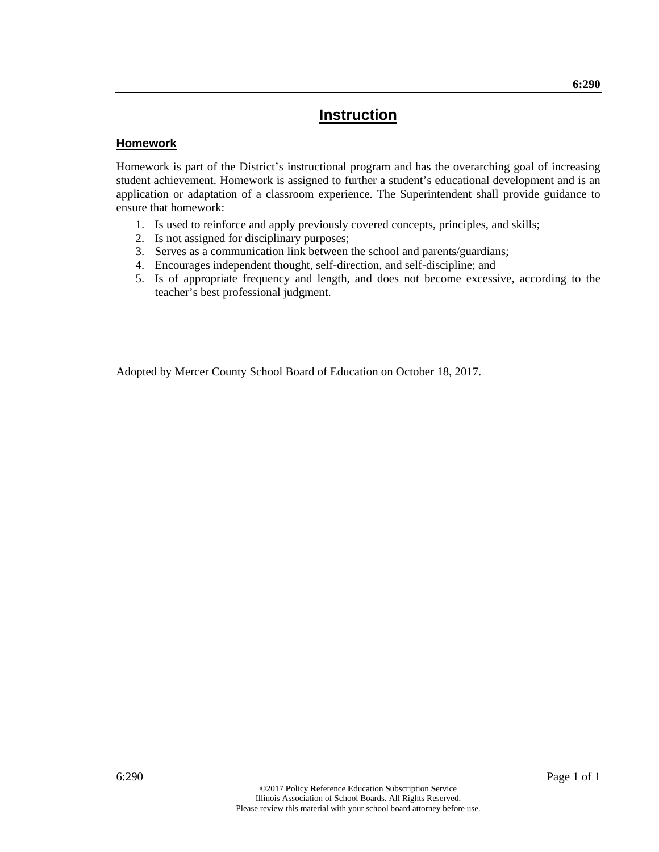#### **Homework**

Homework is part of the District's instructional program and has the overarching goal of increasing student achievement. Homework is assigned to further a student's educational development and is an application or adaptation of a classroom experience. The Superintendent shall provide guidance to ensure that homework:

- 1. Is used to reinforce and apply previously covered concepts, principles, and skills;
- 2. Is not assigned for disciplinary purposes;
- 3. Serves as a communication link between the school and parents/guardians;
- 4. Encourages independent thought, self-direction, and self-discipline; and
- 5. Is of appropriate frequency and length, and does not become excessive, according to the teacher's best professional judgment.

Adopted by Mercer County School Board of Education on October 18, 2017.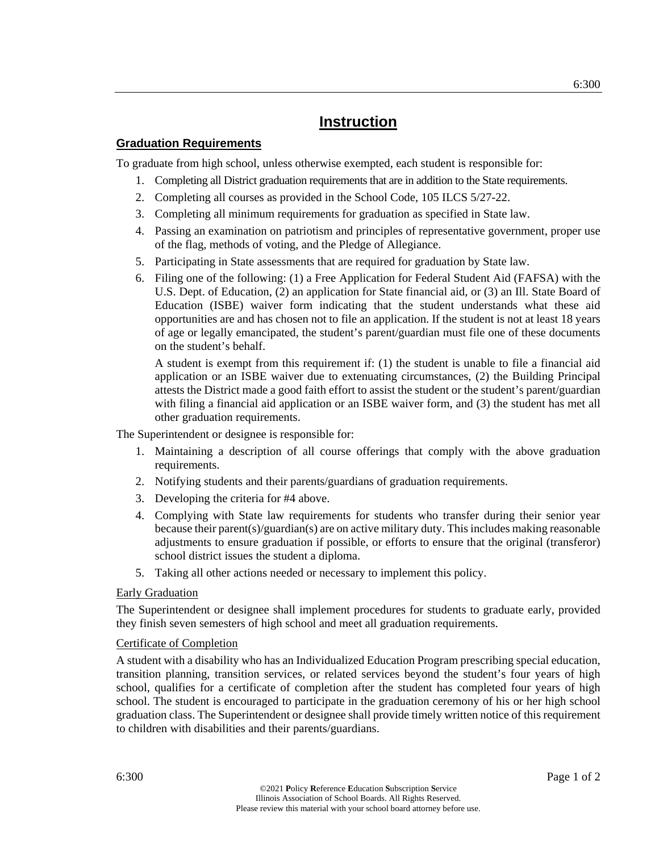#### **Graduation Requirements**

To graduate from high school, unless otherwise exempted, each student is responsible for:

- 1. Completing all District graduation requirements that are in addition to the State requirements.
- 2. Completing all courses as provided in the School Code, 105 ILCS 5/27-22.
- 3. Completing all minimum requirements for graduation as specified in State law.
- 4. Passing an examination on patriotism and principles of representative government, proper use of the flag, methods of voting, and the Pledge of Allegiance.
- 5. Participating in State assessments that are required for graduation by State law.
- 6. Filing one of the following: (1) a Free Application for Federal Student Aid (FAFSA) with the U.S. Dept. of Education, (2) an application for State financial aid, or (3) an Ill. State Board of Education (ISBE) waiver form indicating that the student understands what these aid opportunities are and has chosen not to file an application. If the student is not at least 18 years of age or legally emancipated, the student's parent/guardian must file one of these documents on the student's behalf.

A student is exempt from this requirement if: (1) the student is unable to file a financial aid application or an ISBE waiver due to extenuating circumstances, (2) the Building Principal attests the District made a good faith effort to assist the student or the student's parent/guardian with filing a financial aid application or an ISBE waiver form, and (3) the student has met all other graduation requirements.

The Superintendent or designee is responsible for:

- 1. Maintaining a description of all course offerings that comply with the above graduation requirements.
- 2. Notifying students and their parents/guardians of graduation requirements.
- 3. Developing the criteria for #4 above.
- 4. Complying with State law requirements for students who transfer during their senior year because their parent(s)/guardian(s) are on active military duty. This includes making reasonable adjustments to ensure graduation if possible, or efforts to ensure that the original (transferor) school district issues the student a diploma.
- 5. Taking all other actions needed or necessary to implement this policy.

#### Early Graduation

The Superintendent or designee shall implement procedures for students to graduate early, provided they finish seven semesters of high school and meet all graduation requirements.

#### Certificate of Completion

A student with a disability who has an Individualized Education Program prescribing special education, transition planning, transition services, or related services beyond the student's four years of high school, qualifies for a certificate of completion after the student has completed four years of high school. The student is encouraged to participate in the graduation ceremony of his or her high school graduation class. The Superintendent or designee shall provide timely written notice of this requirement to children with disabilities and their parents/guardians.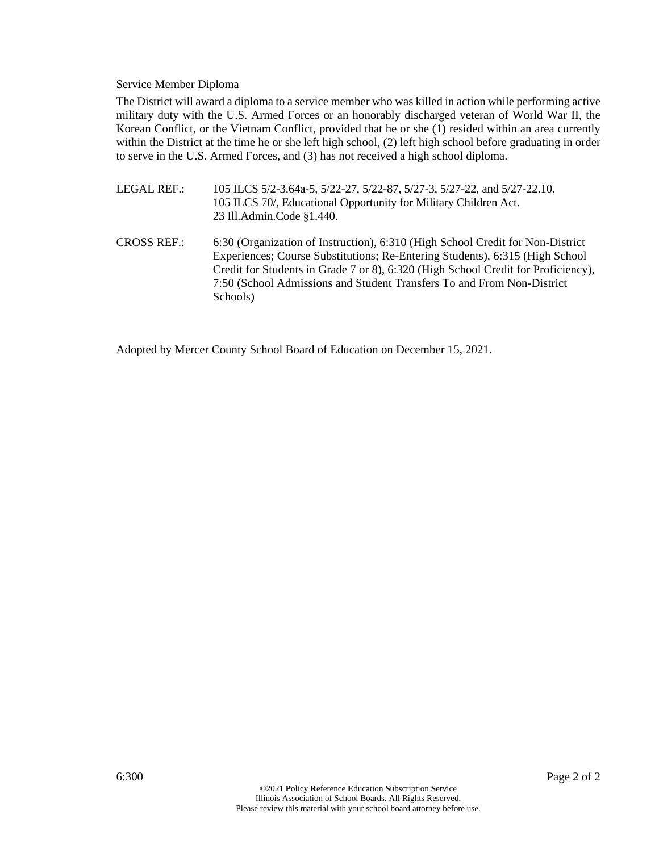#### Service Member Diploma

The District will award a diploma to a service member who was killed in action while performing active military duty with the U.S. Armed Forces or an honorably discharged veteran of World War II, the Korean Conflict, or the Vietnam Conflict, provided that he or she (1) resided within an area currently within the District at the time he or she left high school, (2) left high school before graduating in order to serve in the U.S. Armed Forces, and (3) has not received a high school diploma.

- LEGAL REF.: 105 ILCS 5/2-3.64a-5, 5/22-27, 5/22-87, 5/27-3, 5/27-22, and 5/27-22.10. 105 ILCS 70/, Educational Opportunity for Military Children Act. 23 Ill.Admin.Code §1.440.
- CROSS REF.: 6:30 (Organization of Instruction), 6:310 (High School Credit for Non-District Experiences; Course Substitutions; Re-Entering Students), 6:315 (High School Credit for Students in Grade 7 or 8), 6:320 (High School Credit for Proficiency), 7:50 (School Admissions and Student Transfers To and From Non-District Schools)

Adopted by Mercer County School Board of Education on December 15, 2021.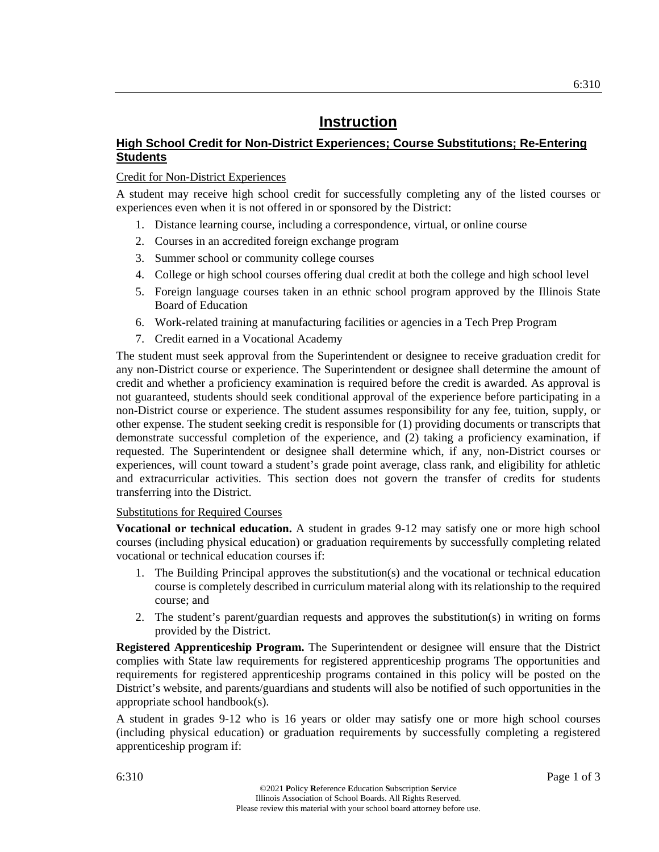#### **High School Credit for Non-District Experiences; Course Substitutions; Re-Entering Students**

#### Credit for Non-District Experiences

A student may receive high school credit for successfully completing any of the listed courses or experiences even when it is not offered in or sponsored by the District:

- 1. Distance learning course, including a correspondence, virtual, or online course
- 2. Courses in an accredited foreign exchange program
- 3. Summer school or community college courses
- 4. College or high school courses offering dual credit at both the college and high school level
- 5. Foreign language courses taken in an ethnic school program approved by the Illinois State Board of Education
- 6. Work-related training at manufacturing facilities or agencies in a Tech Prep Program
- 7. Credit earned in a Vocational Academy

The student must seek approval from the Superintendent or designee to receive graduation credit for any non-District course or experience. The Superintendent or designee shall determine the amount of credit and whether a proficiency examination is required before the credit is awarded. As approval is not guaranteed, students should seek conditional approval of the experience before participating in a non-District course or experience. The student assumes responsibility for any fee, tuition, supply, or other expense. The student seeking credit is responsible for (1) providing documents or transcripts that demonstrate successful completion of the experience, and (2) taking a proficiency examination, if requested. The Superintendent or designee shall determine which, if any, non-District courses or experiences, will count toward a student's grade point average, class rank, and eligibility for athletic and extracurricular activities. This section does not govern the transfer of credits for students transferring into the District.

#### Substitutions for Required Courses

**Vocational or technical education.** A student in grades 9-12 may satisfy one or more high school courses (including physical education) or graduation requirements by successfully completing related vocational or technical education courses if:

- 1. The Building Principal approves the substitution(s) and the vocational or technical education course is completely described in curriculum material along with its relationship to the required course; and
- 2. The student's parent/guardian requests and approves the substitution(s) in writing on forms provided by the District.

**Registered Apprenticeship Program.** The Superintendent or designee will ensure that the District complies with State law requirements for registered apprenticeship programs The opportunities and requirements for registered apprenticeship programs contained in this policy will be posted on the District's website, and parents/guardians and students will also be notified of such opportunities in the appropriate school handbook(s).

A student in grades 9-12 who is 16 years or older may satisfy one or more high school courses (including physical education) or graduation requirements by successfully completing a registered apprenticeship program if: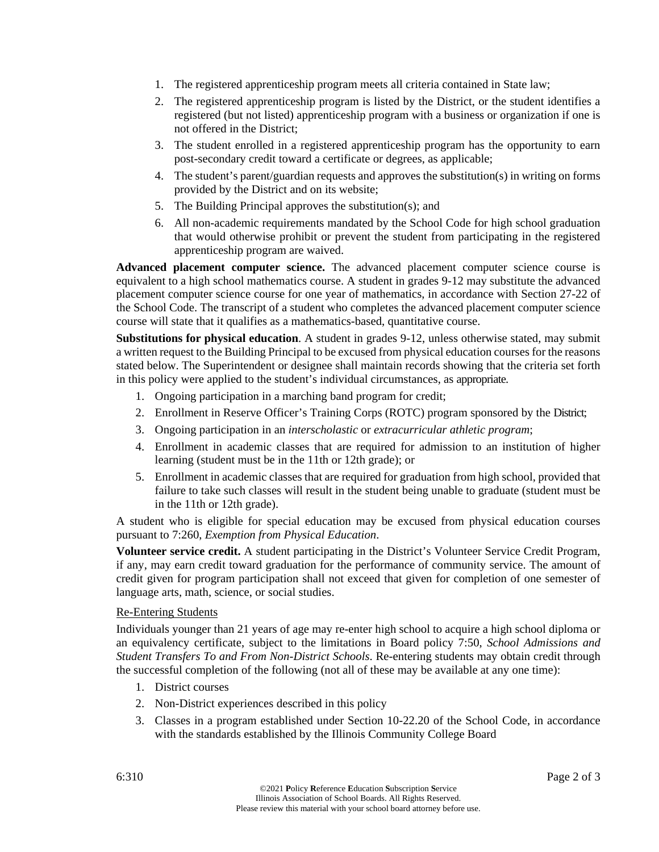- 1. The registered apprenticeship program meets all criteria contained in State law;
- 2. The registered apprenticeship program is listed by the District, or the student identifies a registered (but not listed) apprenticeship program with a business or organization if one is not offered in the District;
- 3. The student enrolled in a registered apprenticeship program has the opportunity to earn post-secondary credit toward a certificate or degrees, as applicable;
- 4. The student's parent/guardian requests and approves the substitution(s) in writing on forms provided by the District and on its website;
- 5. The Building Principal approves the substitution(s); and
- 6. All non-academic requirements mandated by the School Code for high school graduation that would otherwise prohibit or prevent the student from participating in the registered apprenticeship program are waived.

**Advanced placement computer science.** The advanced placement computer science course is equivalent to a high school mathematics course. A student in grades 9-12 may substitute the advanced placement computer science course for one year of mathematics, in accordance with Section 27-22 of the School Code. The transcript of a student who completes the advanced placement computer science course will state that it qualifies as a mathematics-based, quantitative course.

**Substitutions for physical education**. A student in grades 9-12, unless otherwise stated, may submit a written request to the Building Principal to be excused from physical education courses for the reasons stated below. The Superintendent or designee shall maintain records showing that the criteria set forth in this policy were applied to the student's individual circumstances, as appropriate.

- 1. Ongoing participation in a marching band program for credit;
- 2. Enrollment in Reserve Officer's Training Corps (ROTC) program sponsored by the District;
- 3. Ongoing participation in an *interscholastic* or *extracurricular athletic program*;
- 4. Enrollment in academic classes that are required for admission to an institution of higher learning (student must be in the 11th or 12th grade); or
- 5. Enrollment in academic classes that are required for graduation from high school, provided that failure to take such classes will result in the student being unable to graduate (student must be in the 11th or 12th grade).

A student who is eligible for special education may be excused from physical education courses pursuant to 7:260, *Exemption from Physical Education*.

**Volunteer service credit.** A student participating in the District's Volunteer Service Credit Program, if any, may earn credit toward graduation for the performance of community service. The amount of credit given for program participation shall not exceed that given for completion of one semester of language arts, math, science, or social studies.

#### Re-Entering Students

Individuals younger than 21 years of age may re-enter high school to acquire a high school diploma or an equivalency certificate, subject to the limitations in Board policy 7:50, *School Admissions and Student Transfers To and From Non-District Schools*. Re-entering students may obtain credit through the successful completion of the following (not all of these may be available at any one time):

- 1. District courses
- 2. Non-District experiences described in this policy
- 3. Classes in a program established under Section 10-22.20 of the School Code, in accordance with the standards established by the Illinois Community College Board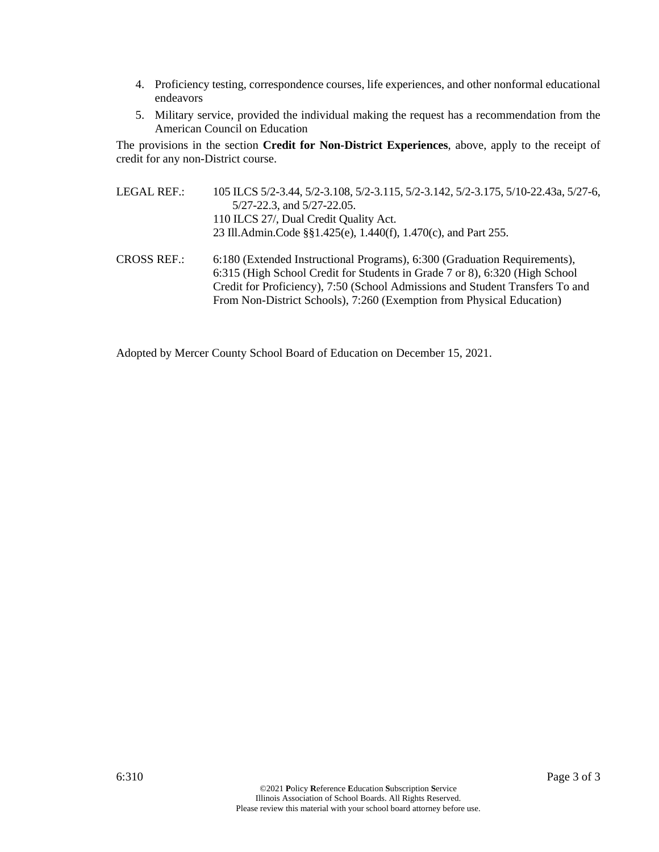- 4. Proficiency testing, correspondence courses, life experiences, and other nonformal educational endeavors
- 5. Military service, provided the individual making the request has a recommendation from the American Council on Education

The provisions in the section **Credit for Non-District Experiences**, above, apply to the receipt of credit for any non-District course.

- LEGAL REF.: 105 ILCS 5/2-3.44, 5/2-3.108, 5/2-3.115, 5/2-3.142, 5/2-3.175, 5/10-22.43a, 5/27-6, 5/27-22.3, and 5/27-22.05. 110 ILCS 27/, Dual Credit Quality Act. 23 Ill.Admin.Code §§1.425(e), 1.440(f), 1.470(c), and Part 255.
- CROSS REF.: 6:180 (Extended Instructional Programs), 6:300 (Graduation Requirements), 6:315 (High School Credit for Students in Grade 7 or 8), 6:320 (High School Credit for Proficiency), 7:50 (School Admissions and Student Transfers To and From Non-District Schools), 7:260 (Exemption from Physical Education)

Adopted by Mercer County School Board of Education on December 15, 2021.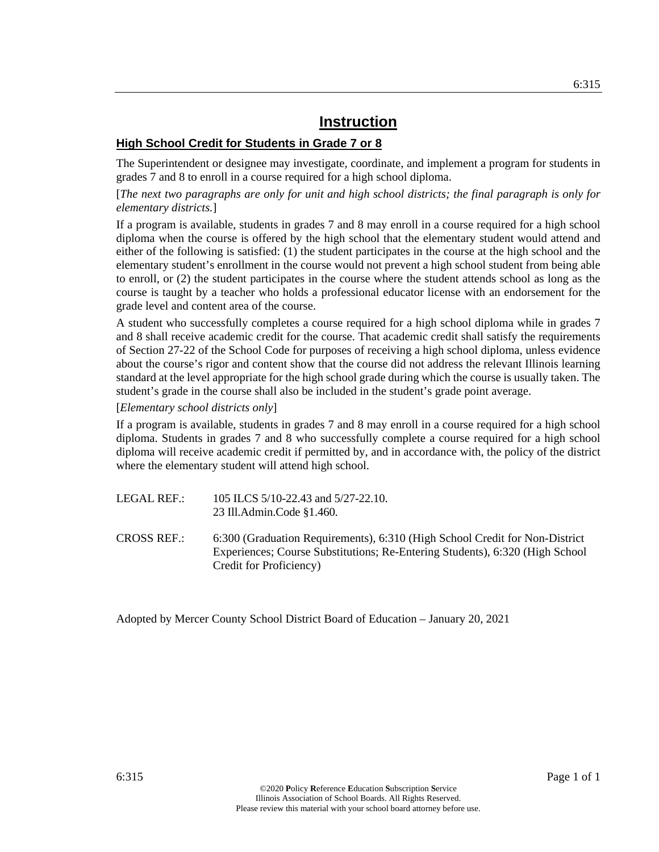#### **High School Credit for Students in Grade 7 or 8**

The Superintendent or designee may investigate, coordinate, and implement a program for students in grades 7 and 8 to enroll in a course required for a high school diploma.

[*The next two paragraphs are only for unit and high school districts; the final paragraph is only for elementary districts.*]

If a program is available, students in grades 7 and 8 may enroll in a course required for a high school diploma when the course is offered by the high school that the elementary student would attend and either of the following is satisfied: (1) the student participates in the course at the high school and the elementary student's enrollment in the course would not prevent a high school student from being able to enroll, or (2) the student participates in the course where the student attends school as long as the course is taught by a teacher who holds a professional educator license with an endorsement for the grade level and content area of the course.

A student who successfully completes a course required for a high school diploma while in grades 7 and 8 shall receive academic credit for the course. That academic credit shall satisfy the requirements of Section 27-22 of the School Code for purposes of receiving a high school diploma, unless evidence about the course's rigor and content show that the course did not address the relevant Illinois learning standard at the level appropriate for the high school grade during which the course is usually taken. The student's grade in the course shall also be included in the student's grade point average.

#### [*Elementary school districts only*]

If a program is available, students in grades 7 and 8 may enroll in a course required for a high school diploma. Students in grades 7 and 8 who successfully complete a course required for a high school diploma will receive academic credit if permitted by, and in accordance with, the policy of the district where the elementary student will attend high school.

- LEGAL REF.: 105 ILCS 5/10-22.43 and 5/27-22.10. 23 Ill.Admin.Code §1.460.
- CROSS REF.: 6:300 (Graduation Requirements), 6:310 (High School Credit for Non-District Experiences; Course Substitutions; Re-Entering Students), 6:320 (High School Credit for Proficiency)

Adopted by Mercer County School District Board of Education – January 20, 2021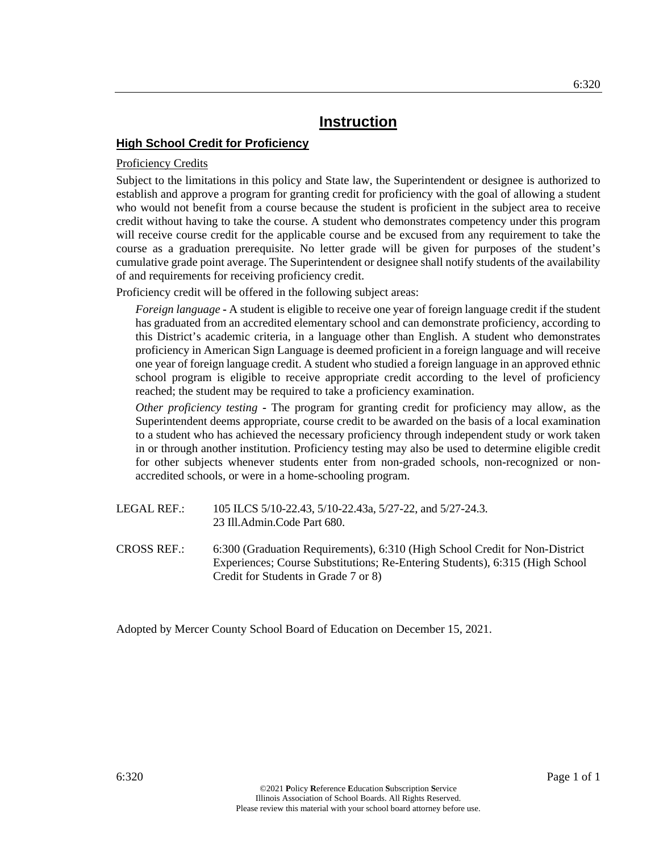#### **High School Credit for Proficiency**

#### Proficiency Credits

Subject to the limitations in this policy and State law, the Superintendent or designee is authorized to establish and approve a program for granting credit for proficiency with the goal of allowing a student who would not benefit from a course because the student is proficient in the subject area to receive credit without having to take the course. A student who demonstrates competency under this program will receive course credit for the applicable course and be excused from any requirement to take the course as a graduation prerequisite. No letter grade will be given for purposes of the student's cumulative grade point average. The Superintendent or designee shall notify students of the availability of and requirements for receiving proficiency credit.

Proficiency credit will be offered in the following subject areas:

*Foreign language* **-** A student is eligible to receive one year of foreign language credit if the student has graduated from an accredited elementary school and can demonstrate proficiency, according to this District's academic criteria, in a language other than English. A student who demonstrates proficiency in American Sign Language is deemed proficient in a foreign language and will receive one year of foreign language credit. A student who studied a foreign language in an approved ethnic school program is eligible to receive appropriate credit according to the level of proficiency reached; the student may be required to take a proficiency examination.

*Other proficiency testing* **-** The program for granting credit for proficiency may allow, as the Superintendent deems appropriate, course credit to be awarded on the basis of a local examination to a student who has achieved the necessary proficiency through independent study or work taken in or through another institution. Proficiency testing may also be used to determine eligible credit for other subjects whenever students enter from non-graded schools, non-recognized or nonaccredited schools, or were in a home-schooling program.

- LEGAL REF.: 105 ILCS 5/10-22.43, 5/10-22.43a, 5/27-22, and 5/27-24.3. 23 Ill.Admin.Code Part 680.
- CROSS REF.: 6:300 (Graduation Requirements), 6:310 (High School Credit for Non-District Experiences; Course Substitutions; Re-Entering Students), 6:315 (High School Credit for Students in Grade 7 or 8)

Adopted by Mercer County School Board of Education on December 15, 2021.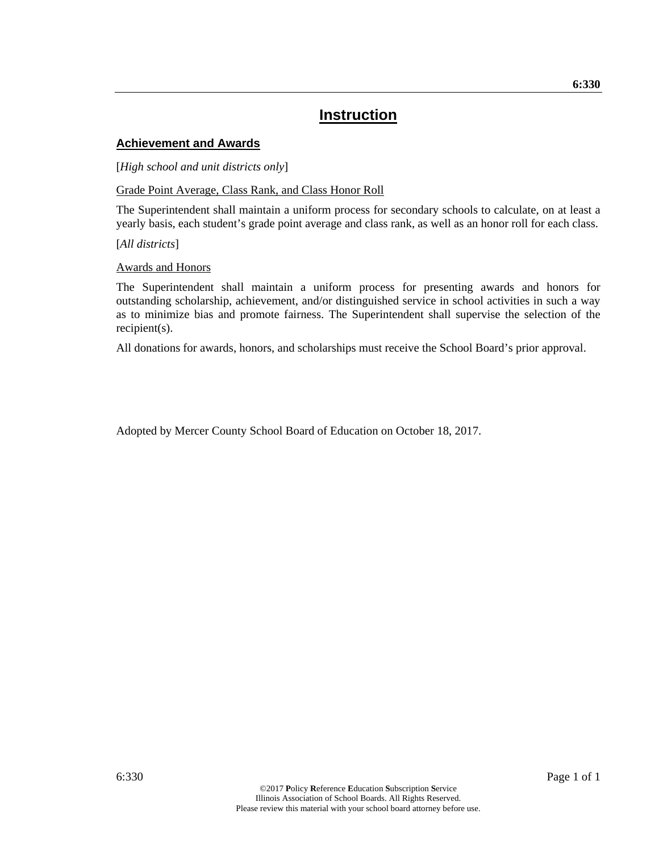#### **Achievement and Awards**

[*High school and unit districts only*]

Grade Point Average, Class Rank, and Class Honor Roll

The Superintendent shall maintain a uniform process for secondary schools to calculate, on at least a yearly basis, each student's grade point average and class rank, as well as an honor roll for each class.

[*All districts*]

Awards and Honors

The Superintendent shall maintain a uniform process for presenting awards and honors for outstanding scholarship, achievement, and/or distinguished service in school activities in such a way as to minimize bias and promote fairness. The Superintendent shall supervise the selection of the recipient(s).

All donations for awards, honors, and scholarships must receive the School Board's prior approval.

Adopted by Mercer County School Board of Education on October 18, 2017.